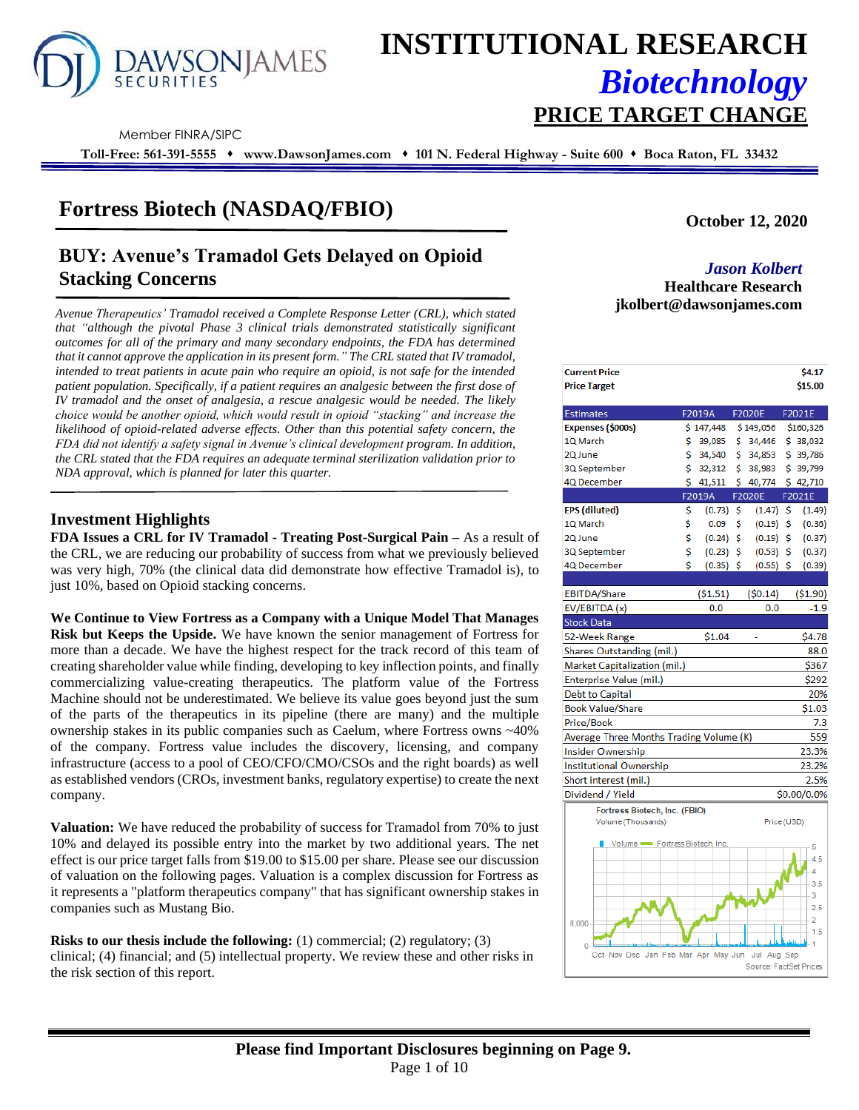

# **INSTITUTIONAL RESEARCH** *Biotechnology* **PRICE TARGET CHANGE**

Member FINRA/SIPC

**Toll-Free: 561-391-5555** ⬧ **www.DawsonJames.com** ⬧ **101 N. Federal Highway - Suite 600** ⬧ **Boca Raton, FL 33432**

# **Fortress Biotech (NASDAQ/FBIO)**

# **BUY: Avenue's Tramadol Gets Delayed on Opioid Stacking Concerns**

**jkolbert@dawsonjames.com** *Avenue Therapeutics' Tramadol received a Complete Response Letter (CRL), which stated that "although the pivotal Phase 3 clinical trials demonstrated statistically significant outcomes for all of the primary and many secondary endpoints, the FDA has determined that it cannot approve the application in its present form." The CRL stated that IV tramadol, intended to treat patients in acute pain who require an opioid, is not safe for the intended patient population. Specifically, if a patient requires an analgesic between the first dose of IV tramadol and the onset of analgesia, a rescue analgesic would be needed. The likely choice would be another opioid, which would result in opioid "stacking" and increase the likelihood of opioid-related adverse effects. Other than this potential safety concern, the FDA did not identify a safety signal in Avenue's clinical development program. In addition, the CRL stated that the FDA requires an adequate terminal sterilization validation prior to NDA approval, which is planned for later this quarter.*

### **Investment Highlights**

**FDA Issues a CRL for IV Tramadol - Treating Post-Surgical Pain –** As a result of the CRL, we are reducing our probability of success from what we previously believed was very high, 70% (the clinical data did demonstrate how effective Tramadol is), to just 10%, based on Opioid stacking concerns.

**We Continue to View Fortress as a Company with a Unique Model That Manages Risk but Keeps the Upside.** We have known the senior management of Fortress for more than a decade. We have the highest respect for the track record of this team of creating shareholder value while finding, developing to key inflection points, and finally commercializing value-creating therapeutics. The platform value of the Fortress Machine should not be underestimated. We believe its value goes beyond just the sum of the parts of the therapeutics in its pipeline (there are many) and the multiple ownership stakes in its public companies such as Caelum, where Fortress owns ~40% of the company. Fortress value includes the discovery, licensing, and company infrastructure (access to a pool of CEO/CFO/CMO/CSOs and the right boards) as well as established vendors (CROs, investment banks, regulatory expertise) to create the next company.

**Valuation:** We have reduced the probability of success for Tramadol from 70% to just 10% and delayed its possible entry into the market by two additional years. The net effect is our price target falls from \$19.00 to \$15.00 per share. Please see our discussion of valuation on the following pages. Valuation is a complex discussion for Fortress as it represents a "platform therapeutics company" that has significant ownership stakes in companies such as Mustang Bio.

**Risks to our thesis include the following:** (1) commercial; (2) regulatory; (3) clinical; (4) financial; and (5) intellectual property. We review these and other risks in the risk section of this report.

**October 12, 2020**

# *Jason Kolbert*

**Healthcare Research** 

| <b>Current Price</b><br><b>Price Target</b> |    |             |     |               |     | \$4.17<br>\$15.00 |
|---------------------------------------------|----|-------------|-----|---------------|-----|-------------------|
| <b>Estimates</b>                            |    | F2019A      |     | F2020E        |     | F2021E            |
| Expenses (\$000s)                           |    | \$147,448   |     | \$149,056     |     | \$160,326         |
| 1Q March                                    | \$ | 39,085      | \$. | 34,446        |     | \$38,032          |
| 2Q June                                     | \$ | 34,540      | \$  | 34,853        |     | \$39,786          |
| 3Q September                                | Ś. | 32,312      | Ś.  | 38,983        |     | \$39,799          |
| 4Q December                                 | Ś. | 41,511      | \$. | 40,774        |     | \$42,710          |
|                                             |    | F2019A      |     | <b>F2020E</b> |     | F2021E            |
| <b>EPS</b> (diluted)                        | \$ | $(0.73)$ \$ |     | (1.47)        | \$. | (1.49)            |
| 1Q March                                    | \$ | 0.09        | \$  | (0.19)        | \$  | (0.36)            |
| 2Q June                                     | \$ | (0.24)      | \$  | (0.19)        | \$  | (0.37)            |
| 3Q September                                | \$ | $(0.23)$ \$ |     | (0.53)        | Ś.  | (0.37)            |
| 4Q December                                 | \$ | $(0.35)$ \$ |     | (0.55)        | \$  | (0.39)            |
|                                             |    |             |     |               |     |                   |
| EBITDA/Share                                |    | (51.51)     |     | (50.14)       |     | ( \$1.90)         |
| EV/EBITDA (x)                               |    | 0.0         |     | 0.0           |     | $-1.9$            |
| <b>Stock Data</b>                           |    |             |     |               |     |                   |
| 52-Week Range                               |    | \$1.04      |     |               |     | \$4.78            |
| Shares Outstanding (mil.)                   |    |             |     |               |     | 88.0              |
| Market Capitalization (mil.)                |    |             |     |               |     | \$367             |
| Enterprise Value (mil.)                     |    |             |     |               |     | \$292             |
| <b>Debt to Capital</b>                      |    |             |     |               |     | 20%               |
| <b>Book Value/Share</b>                     |    |             |     |               |     | \$1.03            |
| Price/Book                                  |    |             |     |               |     | 7.3               |
| Average Three Months Trading Volume (K)     |    |             |     |               |     | 559               |
| <b>Insider Ownership</b>                    |    |             |     |               |     | 23.3%             |
| <b>Institutional Ownership</b>              |    |             |     |               |     | 23.2%             |
| Short interest (mil.)                       |    |             |     |               |     | 2.5%              |
| Dividend / Yield                            |    |             |     |               |     | \$0.00/0.0%       |
| Fortress Biotech, Inc. (FBIO)               |    |             |     |               |     |                   |
| Volume (Thousands)                          |    |             |     | Price (USD)   |     |                   |
|                                             |    |             |     |               |     |                   |
| Volume - Fortress Biotech, Inc.             |    |             |     |               |     | 5                 |
|                                             |    |             |     |               |     | 4.5<br>Δ          |
|                                             |    |             |     |               |     | 3.5               |
|                                             |    |             |     |               |     | 3                 |
|                                             |    |             |     |               |     | 2.5               |
|                                             |    |             |     |               |     | 2                 |

Oct Nov Dec Jan Feb Mar Apr May

Jul Aug Sep Source: FactSet Pr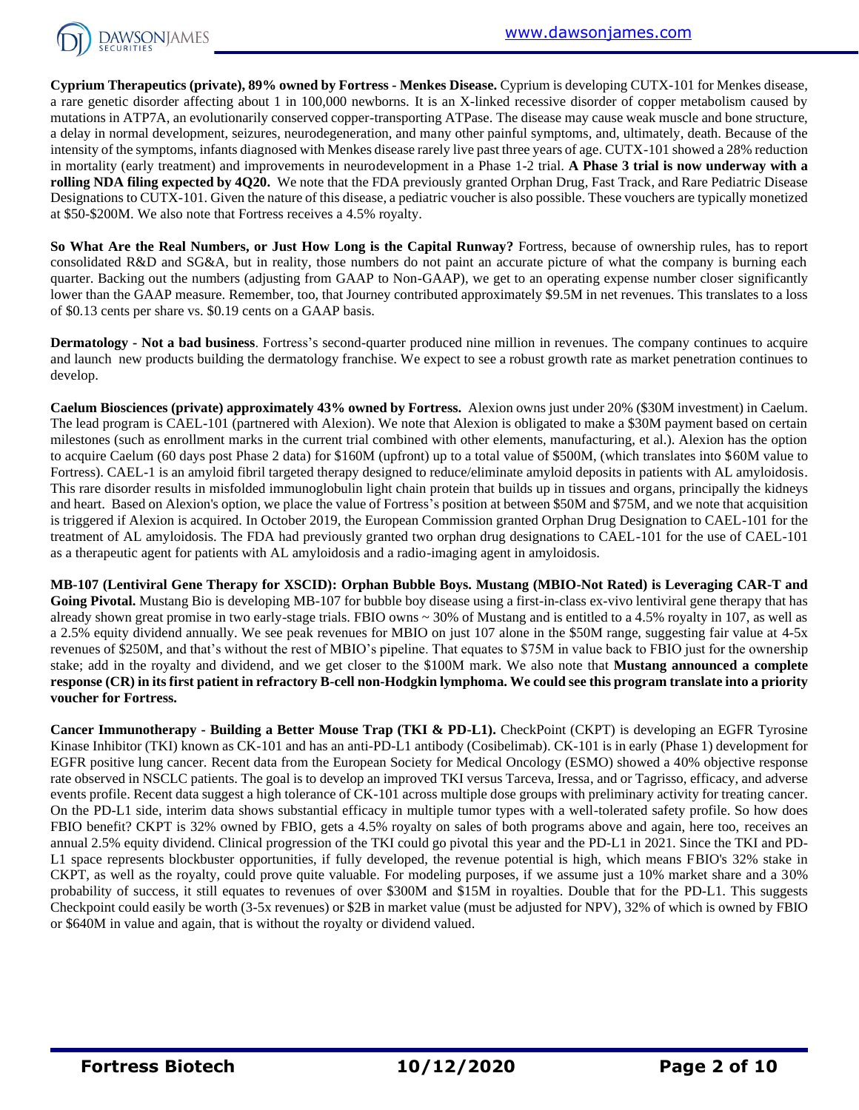

**Cyprium Therapeutics (private), 89% owned by Fortress - Menkes Disease.** Cyprium is developing CUTX-101 for Menkes disease, a rare genetic disorder affecting about 1 in 100,000 newborns. It is an X-linked recessive disorder of copper metabolism caused by mutations in ATP7A, an evolutionarily conserved copper-transporting ATPase. The disease may cause weak muscle and bone structure, a delay in normal development, seizures, neurodegeneration, and many other painful symptoms, and, ultimately, death. Because of the intensity of the symptoms, infants diagnosed with Menkes disease rarely live past three years of age. CUTX-101 showed a 28% reduction in mortality (early treatment) and improvements in neurodevelopment in a Phase 1-2 trial. **A Phase 3 trial is now underway with a rolling NDA filing expected by 4Q20.** We note that the FDA previously granted Orphan Drug, Fast Track, and Rare Pediatric Disease Designations to CUTX-101. Given the nature of this disease, a pediatric voucher is also possible. These vouchers are typically monetized at \$50-\$200M. We also note that Fortress receives a 4.5% royalty.

**So What Are the Real Numbers, or Just How Long is the Capital Runway?** Fortress, because of ownership rules, has to report consolidated R&D and SG&A, but in reality, those numbers do not paint an accurate picture of what the company is burning each quarter. Backing out the numbers (adjusting from GAAP to Non-GAAP), we get to an operating expense number closer significantly lower than the GAAP measure. Remember, too, that Journey contributed approximately \$9.5M in net revenues. This translates to a loss of \$0.13 cents per share vs. \$0.19 cents on a GAAP basis.

**Dermatology - Not a bad business**. Fortress's second-quarter produced nine million in revenues. The company continues to acquire and launch new products building the dermatology franchise. We expect to see a robust growth rate as market penetration continues to develop.

**Caelum Biosciences (private) approximately 43% owned by Fortress.** Alexion owns just under 20% (\$30M investment) in Caelum. The lead program is CAEL-101 (partnered with Alexion). We note that Alexion is obligated to make a \$30M payment based on certain milestones (such as enrollment marks in the current trial combined with other elements, manufacturing, et al.). Alexion has the option to acquire Caelum (60 days post Phase 2 data) for \$160M (upfront) up to a total value of \$500M, (which translates into \$60M value to Fortress). CAEL-1 is an amyloid fibril targeted therapy designed to reduce/eliminate amyloid deposits in patients with AL amyloidosis. This rare disorder results in misfolded immunoglobulin light chain protein that builds up in tissues and organs, principally the kidneys and heart. Based on Alexion's option, we place the value of Fortress's position at between \$50M and \$75M, and we note that acquisition is triggered if Alexion is acquired. In October 2019, the European Commission granted Orphan Drug Designation to CAEL-101 for the treatment of AL amyloidosis. The FDA had previously granted two orphan drug designations to CAEL-101 for the use of CAEL-101 as a therapeutic agent for patients with AL amyloidosis and a radio-imaging agent in amyloidosis.

**MB-107 (Lentiviral Gene Therapy for XSCID): Orphan Bubble Boys. Mustang (MBIO-Not Rated) is Leveraging CAR-T and**  Going Pivotal. Mustang Bio is developing MB-107 for bubble boy disease using a first-in-class ex-vivo lentiviral gene therapy that has already shown great promise in two early-stage trials. FBIO owns ~ 30% of Mustang and is entitled to a 4.5% royalty in 107, as well as a 2.5% equity dividend annually. We see peak revenues for MBIO on just 107 alone in the \$50M range, suggesting fair value at 4-5x revenues of \$250M, and that's without the rest of MBIO's pipeline. That equates to \$75M in value back to FBIO just for the ownership stake; add in the royalty and dividend, and we get closer to the \$100M mark. We also note that **Mustang announced a complete response (CR) in its first patient in refractory B-cell non-Hodgkin lymphoma. We could see this program translate into a priority voucher for Fortress.**

**Cancer Immunotherapy - Building a Better Mouse Trap (TKI & PD-L1).** CheckPoint (CKPT) is developing an EGFR Tyrosine Kinase Inhibitor (TKI) known as CK-101 and has an anti-PD-L1 antibody (Cosibelimab). CK-101 is in early (Phase 1) development for EGFR positive lung cancer. Recent data from the European Society for Medical Oncology (ESMO) showed a 40% objective response rate observed in NSCLC patients. The goal is to develop an improved TKI versus Tarceva, Iressa, and or Tagrisso, efficacy, and adverse events profile. Recent data suggest a high tolerance of CK-101 across multiple dose groups with preliminary activity for treating cancer. On the PD-L1 side, interim data shows substantial efficacy in multiple tumor types with a well-tolerated safety profile. So how does FBIO benefit? CKPT is 32% owned by FBIO, gets a 4.5% royalty on sales of both programs above and again, here too, receives an annual 2.5% equity dividend. Clinical progression of the TKI could go pivotal this year and the PD-L1 in 2021. Since the TKI and PD-L1 space represents blockbuster opportunities, if fully developed, the revenue potential is high, which means FBIO's 32% stake in CKPT, as well as the royalty, could prove quite valuable. For modeling purposes, if we assume just a 10% market share and a 30% probability of success, it still equates to revenues of over \$300M and \$15M in royalties. Double that for the PD-L1. This suggests Checkpoint could easily be worth (3-5x revenues) or \$2B in market value (must be adjusted for NPV), 32% of which is owned by FBIO or \$640M in value and again, that is without the royalty or dividend valued.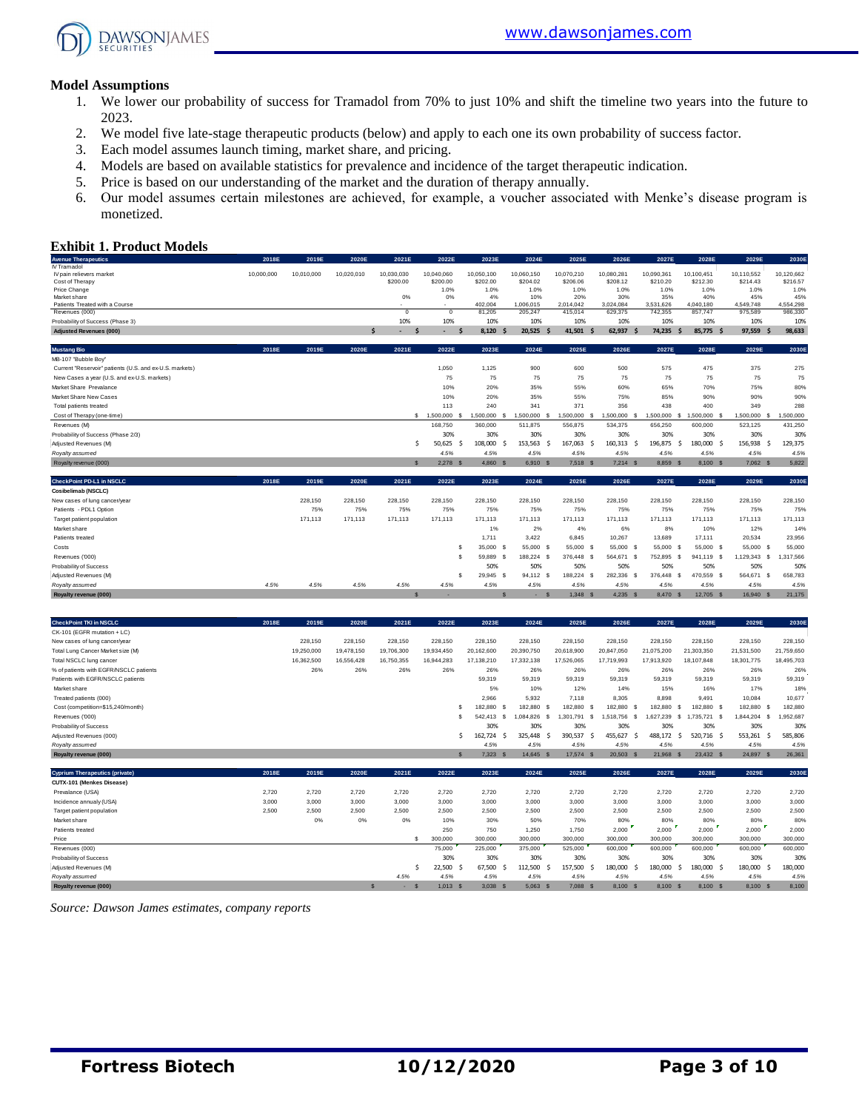

#### **Model Assumptions**

- 1. We lower our probability of success for Tramadol from 70% to just 10% and shift the timeline two years into the future to 2023.
- 2. We model five late-stage therapeutic products (below) and apply to each one its own probability of success factor.
- 3. Each model assumes launch timing, market share, and pricing.
- 4. Models are based on available statistics for prevalence and incidence of the target therapeutic indication.
- 5. Price is based on our understanding of the market and the duration of therapy annually.
- 6. Our model assumes certain milestones are achieved, for example, a voucher associated with Menke's disease program is monetized.

#### **Exhibit 1. Product Models**

| <b>Exhibit 1. Product Models</b>                        |            |            |                |                            |                       |                   |                                              |                      |                      |                      |                        |                        |                      |
|---------------------------------------------------------|------------|------------|----------------|----------------------------|-----------------------|-------------------|----------------------------------------------|----------------------|----------------------|----------------------|------------------------|------------------------|----------------------|
| <b>Avenue Therapeutics</b>                              | 2018E      | 2019E      | 2020E          | 2021E                      | 2022E                 | 2023E             | 2024E                                        | 2025E                | 2026E                | 2027E                | 2028E                  | 2029E                  | 2030E                |
| IV Tramadol<br>IV pain relievers market                 |            |            |                | 10,030,030                 | 10,040,060            | 10,050,100        |                                              | 10,070,210           | 10,080,281           | 10,090,361           |                        |                        | 10.120.662           |
| Cost of Therapy                                         | 10,000,000 | 10,010,000 | 10,020,010     | \$200.00                   | \$200.00              | \$202.00          | 10,060,150<br>\$204.02                       | \$206.06             | \$208.12             | \$210.20             | 10,100,451<br>\$212.30 | 10,110,552<br>\$214.43 | \$216.57             |
| Price Change                                            |            |            |                |                            | 1.0%                  | 1.0%              | 1.0%                                         | 1.0%                 | 1.0%                 | 1.0%                 | 1.0%                   | 1.0%                   | 1.0%                 |
| Market share                                            |            |            |                | 0%                         | 0%                    | 4%                | 10%                                          | 20%                  | 30%                  | 35%                  | 40%                    | 45%                    | 45%                  |
| Patients Treated with a Course                          |            |            |                | $\Omega$                   | <br>$\overline{0}$    | 402.004<br>81.205 | 1.006.015<br>205.247                         | 2.014.042<br>415.014 | 3.024.084<br>629.375 | 3,531,626<br>742.355 | 4.040.180<br>857.747   | 4.549.748<br>975.589   | 4.554.298<br>986,330 |
| Revenues (000)                                          |            |            |                | 10%                        | 10%                   | 10%               | 10%                                          | 10%                  | 10%                  | 10%                  | 10%                    | 10%                    | 10%                  |
| Probability of Success (Phase 3)                        |            |            |                | ¢.<br>$\ddot{\phantom{1}}$ |                       | 8.120             | 20.525                                       | 41.501 \$            | 62.937<br><b>S</b>   | 74.235               | 85.775 \$<br>S         | 97.559<br>S            | 98.633               |
| <b>Adjusted Revenues (000)</b>                          |            |            |                |                            |                       |                   |                                              |                      |                      |                      |                        |                        |                      |
| <b>Mustang Bio</b>                                      | 2018E      | 2019E      | 2020E          | 2021E                      | 2022E                 | 2023E             | 2024E                                        | 2025E                | 2026E                | 2027E                | 2028E                  | 2029E                  | 2030E                |
| MB-107 "Bubble Boy"                                     |            |            |                |                            |                       |                   |                                              |                      |                      |                      |                        |                        |                      |
| Current "Reservoir" patients (U.S. and ex-U.S. markets) |            |            |                |                            | 1.050                 | 1.125             | 900                                          | 600                  | 500                  | 575                  | 475                    | 375                    | 275                  |
| New Cases a year (U.S. and ex-U.S. markets)             |            |            |                |                            | 75                    | 75                | 75                                           | 75                   | 75                   | 75                   | 75                     | 75                     | 75                   |
| Market Share Prevalance                                 |            |            |                |                            | 10%                   | 20%               | 35%                                          | 55%                  | 60%                  | 65%                  | 70%                    | 75%                    | 80%                  |
| Market Share New Cases                                  |            |            |                |                            | 10%                   | 20%               | 35%                                          | 55%                  | 75%                  | 85%                  | 90%                    | 90%                    | 90%                  |
| Total patients treated                                  |            |            |                |                            | 113                   | 240               | 341                                          | 371                  | 356                  | 438                  | 400                    | 349                    | 288                  |
| Cost of Therapy (one-time)                              |            |            |                |                            | \$ 1,500,000          | 1,500,000         | 1,500,000<br>$\mathbf{s}$<br>-8              | 1,500,000<br>- 8     | ,500,000<br>s        | 1,500,000            | 1,500,000 \$<br>£.     | 1,500,000 \$           | 1,500,000            |
| Revenues (M)                                            |            |            |                |                            | 168,750               | 360,000           | 511,875                                      | 556,875              | 534,375              | 656,250              | 600,000                | 523,125                | 431,250              |
| Probability of Success (Phase 2/3)                      |            |            |                |                            | 30%                   | 30%               | 30%                                          | 30%                  | 30%                  | 30%                  | 30%                    | 30%                    | 30%                  |
| Adjusted Revenues (M)                                   |            |            |                | $\ddot{\phantom{1}}$       | 50.625                | 108,000           | 153.563<br>S                                 | 167.063<br>.\$<br>-S | 160.313<br>-Ś.       | 196.875              | 180,000 \$<br>-S       | 156.938<br>.s          | 129,375              |
| Royalty assumed                                         |            |            |                |                            | 4.5%                  | 4.5%              | 4.5%                                         | 4.5%                 | 4.5%                 | 4.5%                 | 4.5%                   | 4.5%                   | 4.5%                 |
| Royalty revenue (000)                                   |            |            |                | $\mathbf{S}$               | 2.278<br>$\mathbf{g}$ | 4,860             | 6.910<br>$\mathbf{\hat{s}}$                  | $7.518$ S            | $7.214$ \$           | 8.859 \$             | 8,100 \$               | $7.062$ S              | 5,822                |
|                                                         |            |            |                |                            |                       |                   |                                              |                      |                      |                      |                        |                        |                      |
| CheckPoint PD-L1 in NSCLC                               | 2018E      | 2019E      | 2020E          | 2021E                      | 2022E                 | 2023E             | 2024E                                        | 2025E                | 2026E                | 2027E                | 2028E                  | 2029E                  | 2030E                |
| Cosibelimab (NSCLC)                                     |            | 228,150    |                |                            |                       |                   | 228.150                                      |                      |                      |                      |                        |                        |                      |
| New cases of lung cancer/year<br>Patients - PDL1 Option |            | 75%        | 228,150<br>75% | 228,150<br>75%             | 228,150<br>75%        | 228,150<br>75%    | 75%                                          | 228,150<br>75%       | 228,150<br>75%       | 228,150<br>75%       | 228,150<br>75%         | 228,150<br>75%         | 228,150<br>75%       |
| Target patient population                               |            | 171.113    | 171.113        | 171.113                    | 171.113               | 171.113           | 171.113                                      | 171.113              | 171.113              | 171.113              | 171.113                | 171.113                | 171.113              |
| Market share                                            |            |            |                |                            |                       | 1%                | 2%                                           | 4%                   | 6%                   | 8%                   | 10%                    | 12%                    | 14%                  |
| Patients treated                                        |            |            |                |                            |                       | 1.711             | 3.422                                        | 6.845                | 10.267               | 13,689               | 17.111                 | 20.534                 | 23.956               |
| Costs                                                   |            |            |                |                            | s.                    | 35,000 \$         | 55,000 \$                                    | 55,000 S             | 55,000 \$            | 55,000 \$            | 55,000 \$              | 55,000 S               | 55,000               |
| Revenues ('000)                                         |            |            |                |                            | \$.                   | 59.889 \$         | 188.224 \$                                   | 376,448 S            | 564.671 \$           | 752.895 \$           | 941.119 \$             | 1.129.343 \$           | 1.317.566            |
| Probability of Success                                  |            |            |                |                            |                       | 50%               | 50%                                          | 50%                  | 50%                  | 50%                  | 50%                    | 50%                    | 50%                  |
| Adjusted Revenues (M)                                   |            |            |                |                            | \$.                   | 29.945            | $\mathbf{s}$<br>94.112 \$                    | 188,224 S            | 282.336<br>- S       | 376,448 \$           | 470.559 \$             | 564.671<br>- 8         | 658,783              |
| Rovalty assumed                                         | 4.5%       | 4.5%       | 4.5%           | 4.5%                       | 4.5%                  | 4.5%              | 4.5%                                         | 4.5%                 | 4.5%                 | 4.5%                 | 4.5%                   | 4.5%                   | 4.5%                 |
| Royalty revenue (000)                                   |            |            |                | $\mathbf{s}$               | ٠                     |                   | $\mathbf{s}$<br>$\mathbf{\hat{s}}$<br>$\sim$ | 1.348 S              | $4.235$ \$           | 8.470 \$             | 12,705 \$              | 16,940 S               | 21.175               |
|                                                         |            |            |                |                            |                       |                   |                                              |                      |                      |                      |                        |                        |                      |

| <b>CheckPoint TKI in NSCLC</b>         | 2018E | 2019E      | 2020E        | 2021E      | 2022E      | 2023E                            | 2024E                   | 2025E          | 2026E            | 2027E          | 2028E                      | 2029E         | 2030E      |
|----------------------------------------|-------|------------|--------------|------------|------------|----------------------------------|-------------------------|----------------|------------------|----------------|----------------------------|---------------|------------|
| CK-101 (EGFR mutation + LC)            |       |            |              |            |            |                                  |                         |                |                  |                |                            |               |            |
| New cases of lung cancer/year          |       | 228,150    | 228,150      | 228,150    | 228,150    | 228,150                          | 228,150                 | 228,150        | 228,150          | 228,150        | 228,150                    | 228,150       | 228,150    |
| Total Lung Cancer Market size (M)      |       | 19,250,000 | 19,478,150   | 19,706,300 | 19,934,450 | 20,162,600                       | 20,390,750              | 20,618,900     | 20,847,050       | 21,075,200     | 21,303,350                 | 21,531,500    | 21,759,650 |
| Total NSCLC lung cancer                |       | 16,362,500 | 16,556,428   | 16,750,355 | 16,944,283 | 17,138,210                       | 17,332,138              | 17,526,065     | 17,719,993       | 17,913,920     | 18,107,848                 | 18,301,775    | 18,495,703 |
| % of patients with EGFR/NSCLC patients |       | 26%        | 26%          | 26%        | 26%        | 26%                              | 26%                     | 26%            | 26%              | 26%            | 26%                        | 26%           | 26%        |
| Patients with EGFR/NSCLC patients      |       |            |              |            |            | 59.319                           | 59.319                  | 59.319         | 59,319           | 59.319         | 59.319                     | 59.319        | 59,319     |
| Market share                           |       |            |              |            |            | 5%                               | 10%                     | 12%            | 14%              | 15%            | 16%                        | 17%           | 18%        |
| Treated patients (000)                 |       |            |              |            |            | 2.966                            | 5.932                   | 7.118          | 8.305            | 8,898          | 9.491                      | 10.084        | 10.677     |
| Cost (competition=\$15,240/month)      |       |            |              |            |            | 182,880                          | 182,880 \$<br>- 93      | 182,880        | 182,880          | 182,880<br>- 3 | 182.880 \$<br>- \$         | 182,880 S     | 182,880    |
| Revenues ('000)                        |       |            |              |            |            | \$.<br>542,413                   | 084.826<br>$\mathbf{s}$ | .301.791<br>-S | -S<br>1.518.756  | .627.239<br>-S | 735.721 \$<br>$\mathbf{s}$ | 844,204<br>s  | 952,687    |
| Probability of Success                 |       |            |              |            |            | 30%                              | 30%                     | 30%            | 30%              | 30%            | 30%                        | 30%           | 30%        |
| Adjusted Revenues (000)                |       |            |              |            |            | 162.724                          | 325.448                 | 390.537        | 455,627          | 488.172<br>.S  | 520.716 \$                 | 553,261<br>.S | 585,806    |
| Royalty assumed                        |       |            |              |            |            | 4.5%                             | 4.5%                    | 4.5%           | 4.5%             | 4.5%           | 4.5%                       | 4.5%          | 4.5%       |
| Royalty revenue (000)                  |       |            |              |            |            | $7,323$ \$<br>$\mathbf{\hat{s}}$ | 14,645 \$               | 17,574         | 20,503<br>$\sim$ | 21,968         | 23,432 \$                  | 24,897 \$     | 26,361     |
|                                        |       |            |              |            |            |                                  |                         |                |                  |                |                            |               |            |
| <b>Cyprium Therapeutics (private)</b>  | 2018E | 2019E      | 2020E        | 2021E      | 2022E      | 2023E                            | 2024E                   | 2025E          | 2026E            | 2027E          | 2028E                      | 2029E         | 2030E      |
| CUTX-101 (Menkes Disease)              |       |            |              |            |            |                                  |                         |                |                  |                |                            |               |            |
| Prevalance (USA)                       | 2.720 | 2,720      | 2,720        | 2,720      | 2.720      | 2.720                            | 2.720                   | 2,720          | 2,720            | 2,720          | 2,720                      | 2.720         | 2,720      |
| Incidence annualy (USA)                | 3,000 | 3.000      | 3,000        | 3,000      | 3,000      | 3,000                            | 3,000                   | 3.000          | 3,000            | 3,000          | 3,000                      | 3,000         | 3,000      |
| Target patient population              | 2,500 | 2,500      | 2,500        | 2,500      | 2.500      | 2.500                            | 2.500                   | 2,500          | 2,500            | 2,500          | 2,500                      | 2,500         | 2,500      |
| Market share                           |       | 0%         | 0%           | 0%         | 10%        | 30%                              | 50%                     | 70%            | 80%              | 80%            | 80%                        | 80%           | 80%        |
| Patients treated                       |       |            |              |            | 250        | 750                              | 1.250                   | 1,750          | 2,000            | 2,000          | 2,000                      | 2,000         | 2.000      |
| Price                                  |       |            |              | s          | 300,000    | 300,000                          | 300,000                 | 300,000        | 300,000          | 300,000        | 300,000                    | 300,000       | 300,000    |
| Revenues (000)                         |       |            |              |            | 75,000     | 225,000                          | 375,000                 | 525,000        | 600,000          | 600,000        | 600,000                    | 600,000       | 600,000    |
| Probability of Success                 |       |            |              |            | 30%        | 30%                              | 30%                     | 30%            | 30%              | 30%            | 30%                        | 30%           | 30%        |
| Adjusted Revenues (M)                  |       |            |              | Ś          | 22,500     | 67,500<br>-S                     | 112,500                 | 157,500        | 180,000          | 180,000<br>-S  | 180,000 \$                 | 180,000<br>.S | 180,000    |
| Royalty assumed                        |       |            |              | 4.5%       | 4.5%       | 4.5%                             | 4.5%                    | 4.5%           | 4.5%             | 4.5%           | 4.5%                       | 4.5%          | 4.5%       |
| Royalty revenue (000)                  |       |            | $\mathbf{s}$ | . .        | $1,013$ \$ | 3.038                            | 5.063                   | 7.088          | 8.100            | 8,100          | 8.100 \$                   | 8.100         | 8.100      |

*Source: Dawson James estimates, company reports*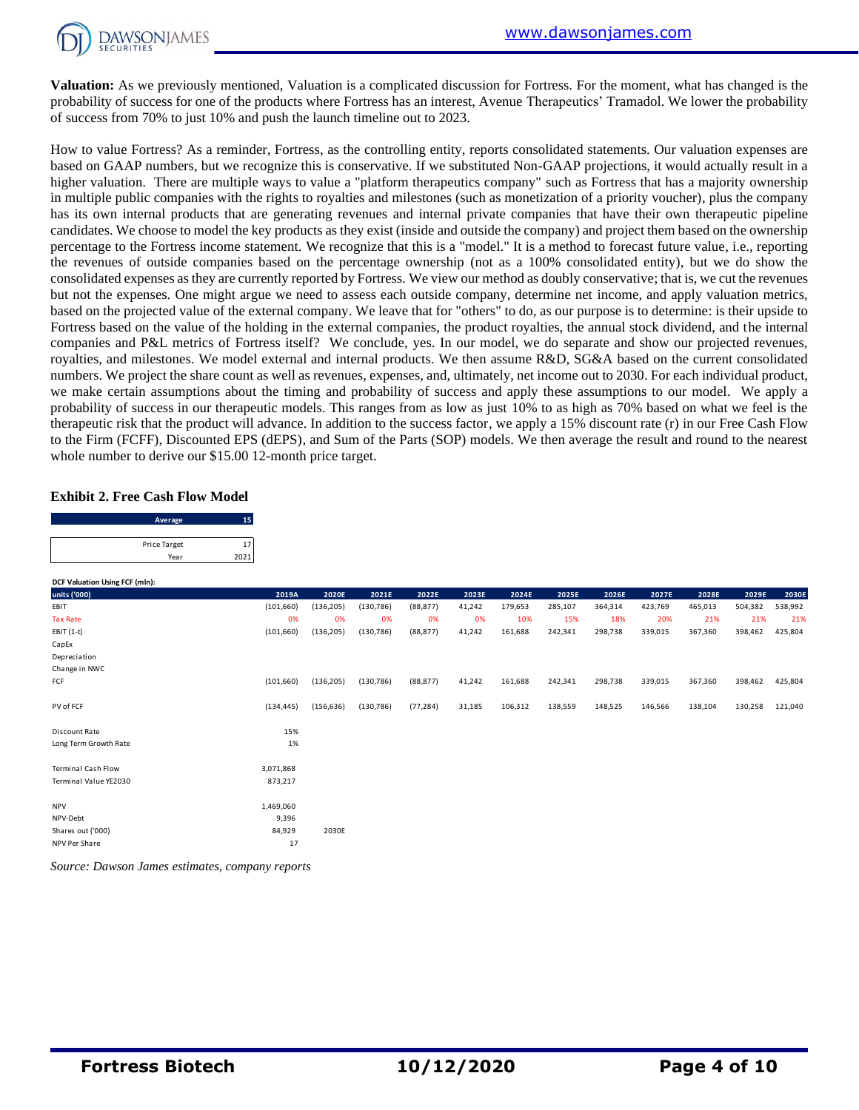

**Valuation:** As we previously mentioned, Valuation is a complicated discussion for Fortress. For the moment, what has changed is the probability of success for one of the products where Fortress has an interest, Avenue Therapeutics' Tramadol. We lower the probability of success from 70% to just 10% and push the launch timeline out to 2023.

How to value Fortress? As a reminder, Fortress, as the controlling entity, reports consolidated statements. Our valuation expenses are based on GAAP numbers, but we recognize this is conservative. If we substituted Non-GAAP projections, it would actually result in a higher valuation. There are multiple ways to value a "platform therapeutics company" such as Fortress that has a majority ownership in multiple public companies with the rights to royalties and milestones (such as monetization of a priority voucher), plus the company has its own internal products that are generating revenues and internal private companies that have their own therapeutic pipeline candidates. We choose to model the key products as they exist (inside and outside the company) and project them based on the ownership percentage to the Fortress income statement. We recognize that this is a "model." It is a method to forecast future value, i.e., reporting the revenues of outside companies based on the percentage ownership (not as a 100% consolidated entity), but we do show the consolidated expenses as they are currently reported by Fortress. We view our method as doubly conservative; that is, we cut the revenues but not the expenses. One might argue we need to assess each outside company, determine net income, and apply valuation metrics, based on the projected value of the external company. We leave that for "others" to do, as our purpose is to determine: is their upside to Fortress based on the value of the holding in the external companies, the product royalties, the annual stock dividend, and the internal companies and P&L metrics of Fortress itself? We conclude, yes. In our model, we do separate and show our projected revenues, royalties, and milestones. We model external and internal products. We then assume R&D, SG&A based on the current consolidated numbers. We project the share count as well as revenues, expenses, and, ultimately, net income out to 2030. For each individual product, we make certain assumptions about the timing and probability of success and apply these assumptions to our model. We apply a probability of success in our therapeutic models. This ranges from as low as just 10% to as high as 70% based on what we feel is the therapeutic risk that the product will advance. In addition to the success factor, we apply a 15% discount rate (r) in our Free Cash Flow to the Firm (FCFF), Discounted EPS (dEPS), and Sum of the Parts (SOP) models. We then average the result and round to the nearest

#### **Exhibit 2. Free Cash Flow Model**

|                                       | Average              | 15         |            |            |            |           |        |         |         |         |         |         |         |         |
|---------------------------------------|----------------------|------------|------------|------------|------------|-----------|--------|---------|---------|---------|---------|---------|---------|---------|
|                                       | Price Target<br>Year | 17<br>2021 |            |            |            |           |        |         |         |         |         |         |         |         |
| <b>DCF Valuation Using FCF (mln):</b> |                      |            |            |            |            |           |        |         |         |         |         |         |         |         |
| units ('000)                          |                      |            | 2019A      | 2020E      | 2021E      | 2022E     | 2023E  | 2024E   | 2025E   | 2026E   | 2027E   | 2028E   | 2029E   | 2030E   |
| EBIT                                  |                      |            | (101, 660) | (136, 205) | (130, 786) | (88, 877) | 41,242 | 179,653 | 285,107 | 364,314 | 423,769 | 465,013 | 504,382 | 538,992 |
| <b>Tax Rate</b>                       |                      |            | 0%         | 0%         | 0%         | 0%        | 0%     | 10%     | 15%     | 18%     | 20%     | 21%     | 21%     | 21%     |
| EBIT (1-t)                            |                      |            | (101, 660) | (136, 205) | (130, 786) | (88, 877) | 41,242 | 161,688 | 242,341 | 298,738 | 339,015 | 367,360 | 398,462 | 425,804 |
| CapEx                                 |                      |            |            |            |            |           |        |         |         |         |         |         |         |         |
| Depreciation                          |                      |            |            |            |            |           |        |         |         |         |         |         |         |         |
| Change in NWC                         |                      |            |            |            |            |           |        |         |         |         |         |         |         |         |
| FCF                                   |                      |            | (101, 660) | (136, 205) | (130, 786) | (88, 877) | 41,242 | 161,688 | 242,341 | 298,738 | 339,015 | 367,360 | 398,462 | 425,804 |
| PV of FCF                             |                      |            | (134, 445) | (156, 636) | (130, 786) | (77, 284) | 31,185 | 106,312 | 138,559 | 148,525 | 146,566 | 138,104 | 130,258 | 121,040 |
| Discount Rate                         |                      |            | 15%        |            |            |           |        |         |         |         |         |         |         |         |
| Long Term Growth Rate                 |                      |            | 1%         |            |            |           |        |         |         |         |         |         |         |         |
| <b>Terminal Cash Flow</b>             |                      |            | 3,071,868  |            |            |           |        |         |         |         |         |         |         |         |
| Terminal Value YE2030                 |                      |            | 873,217    |            |            |           |        |         |         |         |         |         |         |         |
| <b>NPV</b>                            |                      |            | 1,469,060  |            |            |           |        |         |         |         |         |         |         |         |
| NPV-Debt                              |                      |            | 9,396      |            |            |           |        |         |         |         |         |         |         |         |
| Shares out ('000)                     |                      |            | 84,929     | 2030E      |            |           |        |         |         |         |         |         |         |         |
| NPV Per Share                         |                      |            | 17         |            |            |           |        |         |         |         |         |         |         |         |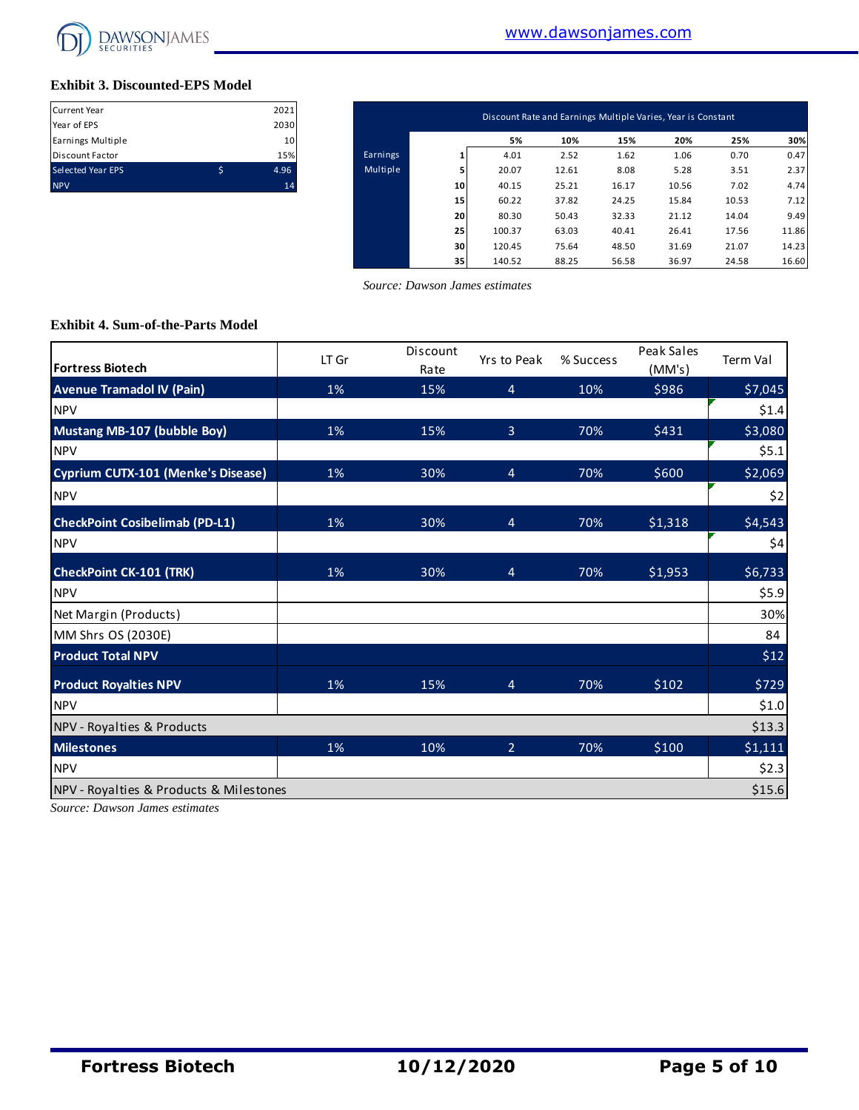

### **Exhibit 3. Discounted-EPS Model**

| <b>Current Year</b>      |   | 2021 |
|--------------------------|---|------|
| Year of EPS              |   | 2030 |
| Earnings Multiple        |   | 10   |
| <b>Discount Factor</b>   |   | 15%  |
| <b>Selected Year EPS</b> | S | 4.96 |
| <b>NPV</b>               |   | 14   |

| Current Year<br>Year of EPS | 2021<br>2030 |          |    | Discount Rate and Earnings Multiple Varies, Year is Constant |       |       |       |       |       |
|-----------------------------|--------------|----------|----|--------------------------------------------------------------|-------|-------|-------|-------|-------|
| Earnings Multiple           | 10           |          |    | 5%                                                           | 10%   | 15%   | 20%   | 25%   | 30%   |
| Discount Factor             | 15%          | Earnings |    | 4.01                                                         | 2.52  | 1.62  | 1.06  | 0.70  | 0.47  |
| Selected Year EPS           | \$<br>4.96   | Multiple |    | 20.07                                                        | 12.61 | 8.08  | 5.28  | 3.51  | 2.37  |
| <b>NPV</b>                  | 14           |          | 10 | 40.15                                                        | 25.21 | 16.17 | 10.56 | 7.02  | 4.74  |
|                             |              |          | 15 | 60.22                                                        | 37.82 | 24.25 | 15.84 | 10.53 | 7.12  |
|                             |              |          | 20 | 80.30                                                        | 50.43 | 32.33 | 21.12 | 14.04 | 9.49  |
|                             |              |          | 25 | 100.37                                                       | 63.03 | 40.41 | 26.41 | 17.56 | 11.86 |
|                             |              |          | 30 | 120.45                                                       | 75.64 | 48.50 | 31.69 | 21.07 | 14.23 |
|                             |              |          | 35 | 140.52                                                       | 88.25 | 56.58 | 36.97 | 24.58 | 16.60 |

 *Source: Dawson James estimates*

#### **Exhibit 4. Sum-of-the-Parts Model**

| <b>Fortress Biotech</b>                 | LT Gr | Discount<br>Rate | Yrs to Peak    | % Success | Peak Sales<br>(MM's) | Term Val |
|-----------------------------------------|-------|------------------|----------------|-----------|----------------------|----------|
| <b>Avenue Tramadol IV (Pain)</b>        | 1%    | 15%              | $\overline{4}$ | 10%       | \$986                | \$7,045  |
| <b>NPV</b>                              |       |                  |                |           |                      | \$1.4    |
| Mustang MB-107 (bubble Boy)             | 1%    | 15%              | $\overline{3}$ | 70%       | \$431                | \$3,080  |
| <b>NPV</b>                              |       |                  |                |           |                      | \$5.1    |
| Cyprium CUTX-101 (Menke's Disease)      | 1%    | 30%              | $\overline{4}$ | 70%       | \$600                | \$2,069  |
| <b>NPV</b>                              |       |                  |                |           |                      | \$2      |
| <b>CheckPoint Cosibelimab (PD-L1)</b>   | 1%    | 30%              | $\overline{4}$ | 70%       | \$1,318              | \$4,543  |
| <b>NPV</b>                              |       |                  |                |           |                      | \$4      |
| <b>CheckPoint CK-101 (TRK)</b>          | 1%    | 30%              | $\overline{4}$ | 70%       | \$1,953              | \$6,733  |
| <b>NPV</b>                              |       |                  |                |           |                      | \$5.9    |
| Net Margin (Products)                   |       |                  |                |           |                      | 30%      |
| MM Shrs OS (2030E)                      |       |                  |                |           |                      | 84       |
| <b>Product Total NPV</b>                |       |                  |                |           |                      | \$12     |
| <b>Product Royalties NPV</b>            | 1%    | 15%              | $\overline{4}$ | 70%       | \$102                | \$729    |
| <b>NPV</b>                              |       |                  |                |           |                      | \$1.0    |
| NPV - Royalties & Products              |       |                  |                |           |                      | \$13.3   |
| <b>Milestones</b>                       | 1%    | 10%              | $\overline{2}$ | 70%       | \$100                | \$1,111  |
| <b>NPV</b>                              |       |                  |                |           |                      | \$2.3    |
| NPV - Royalties & Products & Milestones |       |                  |                |           |                      | \$15.6   |

*Source: Dawson James estimates*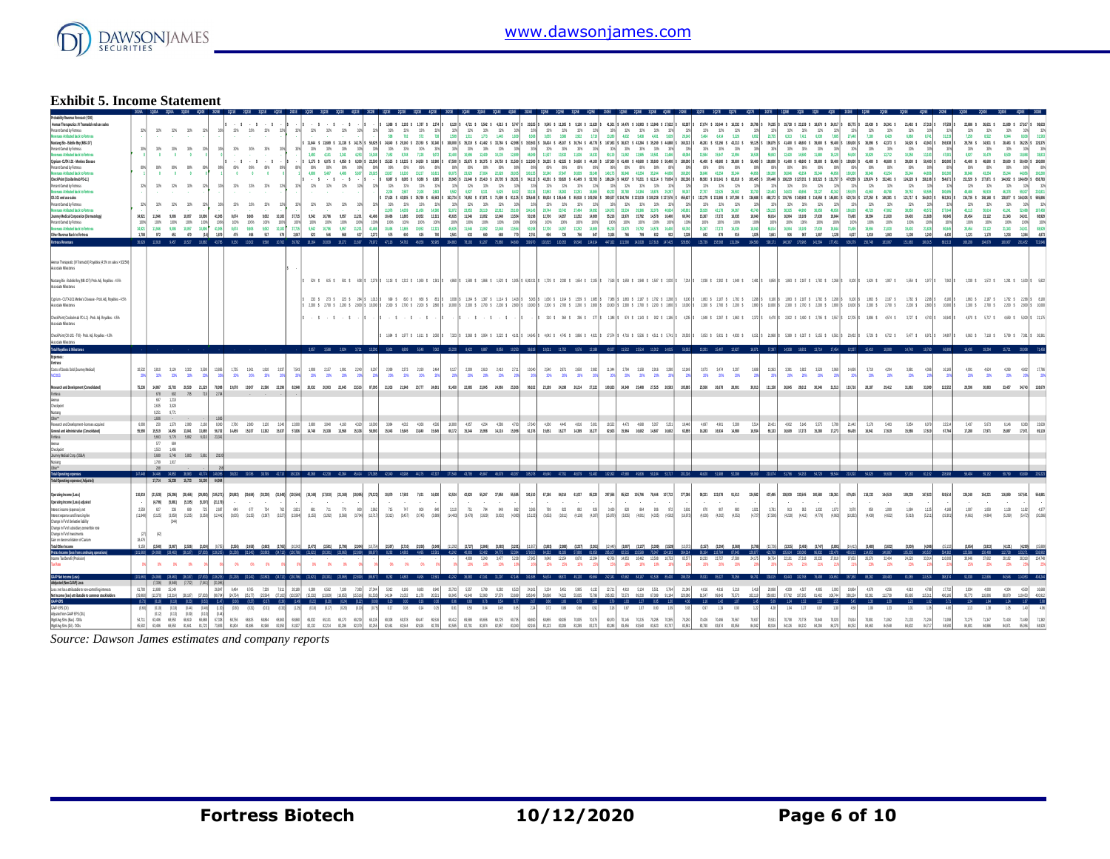

### **Exhibit 5. Income Statement**

| <b>Exhibit 5. Income Statement</b>                                                                                                                                                                                                                                                                                                                                                                                                                                                                                                                                                                                                                                                                                                                                |                                       |                                                                     |                                                                                                                                                                                              |                                     |                                                              |                                                                                                                                                                                                                                                                                                                                                                                                                                      |                                                                                  |                                                        |                                                |                                                                       |                                                                                                                                                                                                                                                                                                                  |                                                                                   |                                  |                                                      |                                                                                                                                                                                                                                                                                                                                                                                        |                                                                                              |       |      |                                                                                                                                                                                                                                                                                                                                                                                                                                                                                |                                                                                                          |      |             |                                                                                                                                                                                                                                                                                              |                            |       |             |                                                                                                                                                                                                                                                                                                                                                                                                                                                                                                                                                                                                                                          |                                                                                                          |       |                                                                                                                                                                                              |                                                                                                                                                                                                                                                                                                                                                                                                                                                                                                                                                                                               |                                                                                                                              |                                         |                                                                                                                                                                                                                                                                                                                                                                                              |       |                                                                                                                        |                                                               |                                                                                                                                                                        |                                                                                                                                                                                                                                                                                                                                                                                                                                                                                               |                                                                                                |                                                                                                   |                                                                                                                                                                                                                                                                                                                                                                                                                                                                                                                                |                                                                                                                                                                                                                           |                                                                                                                                                                                                          |                                                                                                                                                                                                                           |
|-------------------------------------------------------------------------------------------------------------------------------------------------------------------------------------------------------------------------------------------------------------------------------------------------------------------------------------------------------------------------------------------------------------------------------------------------------------------------------------------------------------------------------------------------------------------------------------------------------------------------------------------------------------------------------------------------------------------------------------------------------------------|---------------------------------------|---------------------------------------------------------------------|----------------------------------------------------------------------------------------------------------------------------------------------------------------------------------------------|-------------------------------------|--------------------------------------------------------------|--------------------------------------------------------------------------------------------------------------------------------------------------------------------------------------------------------------------------------------------------------------------------------------------------------------------------------------------------------------------------------------------------------------------------------------|----------------------------------------------------------------------------------|--------------------------------------------------------|------------------------------------------------|-----------------------------------------------------------------------|------------------------------------------------------------------------------------------------------------------------------------------------------------------------------------------------------------------------------------------------------------------------------------------------------------------|-----------------------------------------------------------------------------------|----------------------------------|------------------------------------------------------|----------------------------------------------------------------------------------------------------------------------------------------------------------------------------------------------------------------------------------------------------------------------------------------------------------------------------------------------------------------------------------------|----------------------------------------------------------------------------------------------|-------|------|--------------------------------------------------------------------------------------------------------------------------------------------------------------------------------------------------------------------------------------------------------------------------------------------------------------------------------------------------------------------------------------------------------------------------------------------------------------------------------|----------------------------------------------------------------------------------------------------------|------|-------------|----------------------------------------------------------------------------------------------------------------------------------------------------------------------------------------------------------------------------------------------------------------------------------------------|----------------------------|-------|-------------|------------------------------------------------------------------------------------------------------------------------------------------------------------------------------------------------------------------------------------------------------------------------------------------------------------------------------------------------------------------------------------------------------------------------------------------------------------------------------------------------------------------------------------------------------------------------------------------------------------------------------------------|----------------------------------------------------------------------------------------------------------|-------|----------------------------------------------------------------------------------------------------------------------------------------------------------------------------------------------|-----------------------------------------------------------------------------------------------------------------------------------------------------------------------------------------------------------------------------------------------------------------------------------------------------------------------------------------------------------------------------------------------------------------------------------------------------------------------------------------------------------------------------------------------------------------------------------------------|------------------------------------------------------------------------------------------------------------------------------|-----------------------------------------|----------------------------------------------------------------------------------------------------------------------------------------------------------------------------------------------------------------------------------------------------------------------------------------------------------------------------------------------------------------------------------------------|-------|------------------------------------------------------------------------------------------------------------------------|---------------------------------------------------------------|------------------------------------------------------------------------------------------------------------------------------------------------------------------------|-----------------------------------------------------------------------------------------------------------------------------------------------------------------------------------------------------------------------------------------------------------------------------------------------------------------------------------------------------------------------------------------------------------------------------------------------------------------------------------------------|------------------------------------------------------------------------------------------------|---------------------------------------------------------------------------------------------------|--------------------------------------------------------------------------------------------------------------------------------------------------------------------------------------------------------------------------------------------------------------------------------------------------------------------------------------------------------------------------------------------------------------------------------------------------------------------------------------------------------------------------------|---------------------------------------------------------------------------------------------------------------------------------------------------------------------------------------------------------------------------|----------------------------------------------------------------------------------------------------------------------------------------------------------------------------------------------------------|---------------------------------------------------------------------------------------------------------------------------------------------------------------------------------------------------------------------------|
| Probability Revenue Forecast: (1800)<br>Avenue Therapeutics: M Tramadol end use sales<br>Percent Owned by Fortress<br><b>Brunnies Ambuted back to Fortness</b><br>Mustang Bio - Bubble Boy (MB-107)<br><b>Person Owned by Fortness</b><br>Revenues Atributed back to Fortress<br>Cyprium -CITX-101 - Menkes Disease<br>Persent Owned by Endsex<br><b>Brunnies Ambuted back to Formes</b><br>CheckPoint (Cosibelinab PD-L1)<br>Percent Owned by Fortress<br>Revenues Atributed back to Fortress<br>DK-101 end use sales<br>Percent Owned by Fortress<br>Revenues Atributed back to Fortress<br>Journey Medical Corporation (Dermatology)<br>Percent Owned by Fortress<br>Revenues Atributed back to Fortres<br>Other Revenue Back to Fortress<br>Fortress Revenues | 325<br>32%<br>34,921<br>100%<br>1.788 | . .<br>89%<br>- 61<br>32%<br>32%<br>11,946<br>100%<br>11,946<br>972 | 32% 32% 32%<br>305 305 305<br>$\bullet$<br>- 11<br>895<br>89%<br>$\bullet$<br>$\sim$<br>$32\%$ $ 32\%$<br>32%<br>32%<br>9.006 10.057 10.996<br>1075<br>100%<br>1,006<br>10.057<br>451<br>470 | $-275$<br>925<br>375<br>275<br>100% | 32%<br>375<br>89%<br>32%<br>- 32%<br>41,985<br>100%<br>1.879 | $\cdot$ \$<br>32% 32% 32% 32%<br>30%<br>$-5 - 5 - 5 - 5 -$<br>89% 89% 89% 89%<br>$\bullet$<br>$\bullet$<br>32% 32% 32% 32%<br>32% 32%<br>3.674 9.806<br>100%<br>100%<br>3.674 9.886<br>$475$ $495$<br>as the sea that the case of the and the and the and the and the seas and and the man the the case the the the case the the seas the seas the the man the man the case the seas the seas the seas the seas the seas the seas th | $1 - 1 - 1$<br>305 305 309<br>- 6<br>32%<br>9.052 10.183<br>100%<br>9.052<br>517 | 32%<br>37715<br>100%<br>100%<br>10,183<br>579<br>2.067 | $\cdot$ $\cdot$<br>4,606<br>325<br>100%<br>523 | $\cdot$ $\cdot$<br>305 305 305<br>32% 32% 32%<br>- 32%<br>100%<br>546 | $\cdot$ $\cdot$<br>325 325 325 325<br>11.644 \$ 13.669 \$ 11.138 \$ 14.175 \$ 50.675 \$<br>325<br>3,493 4,101 3,341 4,253<br>5,175 \$ 6,075 \$ 4,950 \$ 6,300 \$ 22,500 \$<br>89% 89% 89% 89%<br>5,417 4,406 5,607<br>.<br>32%<br>9.502 10.785 9.957 11.201<br>100% 100%<br>9,542 10,786 9,957 11,201<br>568 637 | 32%<br>30%<br>15.188<br>89%<br>20.025<br>32%<br>41,486<br>100%<br>41,486<br>2.273 | 1368 \$<br>100%<br>10,495 11,955 | 2.193 \$<br>598 702 572<br>2,284 2,587 2,108<br>100% | 1787 \$ 2.274<br>32% 32% 32% 32%<br>778<br>24840 \$ 29.160 \$ 23.760 \$ 30.240 \$<br>325 325 325 325<br>7,452 8,748 7,128 9,072<br>15,525 \$ 18,225 \$ 14,850 \$ 18,900 \$<br>80% 80% 80% 80%<br>13817 16220 13217 16321<br>32% 32% 32% 32%<br>2.683<br>32% 32% 32% 32%<br>11,976 14,059 11,456 14,580<br>10,496 11,865 10,952 12,321<br>100% 100%<br>18,952 12,321<br>575 600 625 700 | \$120 \$<br>2599<br>32,400<br>89%<br>sams<br>32%<br>52072<br>45635<br>100%<br>45,635<br>2501 | 32%   |      | 4721 \$ 5502 \$ 4515 \$ 5707<br>32% 32% 32% 32%<br>1,511 1,773 1,445 1,839<br>30% 30% 30% 30% 30% 30%<br>32,400 10,596 12,439 10,135 12,899<br>89% 89% 89% 89%<br>23,029 27,034 22,028 28,035<br>$\begin{array}{cccccc} 32\% & 32\% & 32\% & 32\% & 32\% & 32\% \\ 9582 & 6,827 & 8,131 & 6,625 & 8,432 \end{array}$<br>32% 32% 32% 32%<br>23.953 28.119 22.912 29.160<br>11,546 13,052 12,848 13,554<br>100% 100% 100% 100%<br>11,546 13,052 12,048 13,554<br>633 660 688 770 | 20.525 \$<br>32%<br>89%<br>100125<br>32%<br>30.116<br>32%<br>104143<br>50,198<br>100%<br>50,156<br>2.751 |      |             | 9545 \$ 11.205 \$ 9.130 \$ 11.620 \$<br>$325 \qquad 325 \qquad 325 \qquad 325$<br>3855 3586 2822 3719<br>32240 37347 38339 39249<br>13,853 16,263 13,251 16,865<br>32% 32% 32% 32% 32%<br>28744 33742 27.494 34.992<br>100% 100% 100% 100%<br>12,700 14,357 13,252 14,909<br>696 726 756 847 | 124,972<br>100%<br>55.218  |       |             | 41501 \$ 14476 \$ 16993 \$ 13846 \$ 17672 \$ 62937 \$<br>32% 32% 32% 32% 32%<br>13280 4522 5433 4431 5539<br>108,000 \$ 35,319 \$ 41,462 \$ 33,764 \$ 42,998 \$ 153,563 \$ 36,424 \$ 45,107 \$ 36,754 \$ 46,778 \$ 167,063 \$ 36,272 \$ 43,284 \$ 35,289 \$ 44,888 \$ 160,313 \$<br>89% 89% 89% 89% 89% 89% 89% 89% 89% 89%<br>140.175 36.846 43.254 35.244 44.856<br>25 325 325 326 326 326 327 328 328<br>60,232 20,780 24,384 19,876 25,297<br>32% 32% 32% 32%<br>33.534 39.366 32.076 40.824<br>12700 14357 13252 14509 55218 13370 15792 14578 16400<br>100% 100% 100% 100%<br>13,970 15,792 14,578 16,400<br>3.035 766 799 832 932 | 32%<br>20140<br>30%<br>89%<br>160200<br>32%<br>90347<br>32%<br>145,801<br>68740<br>100%<br>60740<br>3328 |       | 17074 \$ 2004 \$ 16332 \$<br>32% 32% 32%<br>5464 6414 5226<br>30% 30% 30%<br>89% 89% 89%<br>$325 - 325 - 325$<br>35,929 42,178 34,367<br>100% 100% 100%<br>15367 17372 16,035<br>842 879 915 | 20,786<br>32%<br>6.652<br>alongs a longe a coast a coast a coast a letter a letter a sear a sear a search a search a search a<br>30%<br>13,584 15,947 12,994 16,538<br>67,500 \$ 25,875 \$ 24,750 \$ 21,500 \$ 112,500 \$ 36,225 \$ 24,555 \$ 44,100 \$ 45,7500 \$ 41,400 \$ 28,800 \$ 29,800 \$ 41,400 \$ 48,800 \$ 29,800 \$ 50,400 \$ 118,000 \$ 41,400 \$ 48,800 \$ 28,800 \$ 28,800 \$ 28,800 \$ 29,800 \$ 29,800 \$ 29,<br>89%<br>35846 43254 35244 44856<br>32% 32% 32% 32% 32%<br>27,707 32,525 26,502 33,730<br>32%<br>43,740<br>15367 17372 16.035 18.040 66.814<br>18.040<br>1.025 | 74.235 \$<br>32%<br>23, 255<br>37%<br>59,063<br>225<br>160,000<br>120, 463<br>32%<br>156,215<br>100% 100%<br>66,814<br>3.661 |                                         | 19.738 \$ 23.159 \$ 18.870 \$ 24.017<br>32% 32% 32% 32%<br>6.313 7.411 6.039 7.685<br>30% 30% 30% 30%<br>12.420 14.580 11.880 15.120<br>89% 89% 89% 89%<br>MAR HOLE WHI HAVE<br>32% 32% 32% 32%<br>34,633 40,656 33,127 42,162<br>32% 32% 32% 32%<br>38.325 44.990 36.658 46.656<br>16,904 19,109 17,639 19,844<br>100% 100% 100% 100%<br>16,904 19,109 17,639 19,844<br>926 957 1.007 1.128 |       | - 32%<br>77.142<br>30%<br><b>State</b><br>89%<br>150.200<br>32%<br>150,579<br>32%<br>73.495<br>100%<br>71,405<br>4.077 | 32%<br>30%<br>89%<br>32%<br>40,720<br>100%<br>18,584<br>1,019 | 22,439 \$ 26,341 \$<br>32%<br>7100 8.000<br>30%<br>41.400 \$ 48.600 \$<br>89%<br>32% 32%<br>41,560 48,788<br>37%<br>47,802<br>18,594 21,020<br>100%<br>21,020<br>1,063 | 21,483 \$ 27,316<br>32%<br>6,868 8,741<br>$2.0003$ $2.0021$ $3.0003$ $2.0003$ $3.0003$<br>30%<br>10.829 12.712 10.358 13.183<br>89% 89%<br>36.845 43.254 35.244 44.856<br>32%<br>38,753 50,585<br>nus tass tasse asid nowli uss than these thus tassed man than tassed man is model man to mone than serves mone than the monet man than the monet mand at monet mand than the stream is monet man to monet the monet than it is<br>32%<br>38,950<br>19.403 21.828<br>100%<br>19,403<br>1.108 | - 32%<br>30%<br>39,600 \$ 50,400 \$ 180,000<br>32%<br>32%<br>49,572<br>100%<br>21,828<br>1.240 | 32%<br>11.210<br>156,938<br>47,085<br>150,000<br>37%<br>100,005<br>37%<br>80,845<br>100%<br>4,430 | 22,636 \$<br>32% 32%<br>7.950<br>30%<br>8,977<br>41.400 \$<br>89%<br>16.846<br>151,520 \$<br>32%<br>43,495<br>32%<br>43,115<br>20.454<br>100%<br>20.454<br>1.121                                                                                                                                                                                                                                                                                                                                                               | 2522<br>29,756 \$ 34,931 \$ 28,463 \$ 36,225 \$<br><b>STAR</b><br>10,470<br>48,600 \$<br>89%<br>43, 25, 41<br>32%<br>56,919<br>32%<br>50.614<br>23.122 21.343 24.011<br>100%<br>23.122 21.343 24.011<br>1.170 1.218 1.354 | 21,699 \$ 27,617<br>32%<br>$\frac{32\%}{8.838}$<br><b>COAS</b><br>30%<br>8.539 10.868<br>89%<br>89%<br>35.244 44.856<br>32%<br>32%<br>59,027<br>46,378<br>32%<br>32%<br>52,488<br>41.241<br>100%<br>100% | $-24.583$<br>129,375<br>- 375<br>38.85<br>39,600 \$ 50,400 \$ 180,000<br>160.20<br>177,871 \$ 144,932 \$ 184,459 \$ 658,783<br>210.8<br>134,735 \$ 158,168 \$ 128,877 \$ 164,026 \$ 585,806<br>187,458<br>88,929<br>4.873 |
| Aenue Therapeutic (IV Tramadol) Royalties (4.5% on sales > \$325M)<br><b>Associate Milestones</b><br>Mustano Bio - Bubble Bov (MB-107) Prob. Adi. Rovalties - 4.5%<br>senteelil extrast                                                                                                                                                                                                                                                                                                                                                                                                                                                                                                                                                                           |                                       |                                                                     |                                                                                                                                                                                              |                                     |                                                              |                                                                                                                                                                                                                                                                                                                                                                                                                                      |                                                                                  |                                                        |                                                |                                                                       |                                                                                                                                                                                                                                                                                                                  |                                                                                   |                                  |                                                      |                                                                                                                                                                                                                                                                                                                                                                                        |                                                                                              |       |      |                                                                                                                                                                                                                                                                                                                                                                                                                                                                                |                                                                                                          |      |             |                                                                                                                                                                                                                                                                                              |                            |       |             |                                                                                                                                                                                                                                                                                                                                                                                                                                                                                                                                                                                                                                          |                                                                                                          |       |                                                                                                                                                                                              |                                                                                                                                                                                                                                                                                                                                                                                                                                                                                                                                                                                               |                                                                                                                              |                                         |                                                                                                                                                                                                                                                                                                                                                                                              |       |                                                                                                                        |                                                               |                                                                                                                                                                        | sais ens sons em s zzmis tras tras trams trams trams trams trams trams trans trans trans trans trams trams trams trans trans zons trans zons trams trams trans trans trans trans trans trans trans trans trans trans trans tr                                                                                                                                                                                                                                                                 |                                                                                                |                                                                                                   | 1339 \$ 1572 \$ 1281 \$ 1630 \$ 5,622                                                                                                                                                                                                                                                                                                                                                                                                                                                                                          |                                                                                                                                                                                                                           |                                                                                                                                                                                                          |                                                                                                                                                                                                                           |
| Cyprium - CUTX-101 Merkels Disease - Prob. Adj. Royaltes - 4.5%<br>Associate Milestones<br>CheckPoint (Cosibelmab PD-L1) - Prob. Adj. Royalties - 4.5%<br>Associate Milestones                                                                                                                                                                                                                                                                                                                                                                                                                                                                                                                                                                                    |                                       |                                                                     |                                                                                                                                                                                              |                                     |                                                              |                                                                                                                                                                                                                                                                                                                                                                                                                                      |                                                                                  |                                                        |                                                |                                                                       | $-5 - 5 - 5 - 5$                                                                                                                                                                                                                                                                                                 |                                                                                   | $-5 - 5 - 5 - 5 - 5 - 5$         |                                                      |                                                                                                                                                                                                                                                                                                                                                                                        |                                                                                              |       |      |                                                                                                                                                                                                                                                                                                                                                                                                                                                                                |                                                                                                          |      |             |                                                                                                                                                                                                                                                                                              |                            |       |             |                                                                                                                                                                                                                                                                                                                                                                                                                                                                                                                                                                                                                                          |                                                                                                          |       |                                                                                                                                                                                              |                                                                                                                                                                                                                                                                                                                                                                                                                                                                                                                                                                                               |                                                                                                                              |                                         |                                                                                                                                                                                                                                                                                                                                                                                              |       |                                                                                                                        |                                                               |                                                                                                                                                                        |                                                                                                                                                                                                                                                                                                                                                                                                                                                                                               |                                                                                                |                                                                                                   | 1,863 \$2,187 \$1,782 \$2,268 \$8,100<br>2300 \$ 2700 \$ 2800 \$ 2800 \$ 2800 \$ 2700 \$ 2800 \$ 2800 \$ 2700 \$ 2800 \$ 2800 \$ 2800 \$ 2800 \$ 2800 \$ 2800 \$ 2800 \$ 2800 \$ 2700 \$ 2700 \$ 2800 \$ 2800 \$ 2800 \$ 2800 \$ 2800 \$ 2800 \$ 2800 \$ 2800 \$ 2800 \$ 2800 \$ 2800 \$ 2800 \$ 2800 \$<br> \$ 300 \$ 364 \$ 289 \$ 377 \$ 1,348 \$ \$78 \$ 1,148 \$ 328 \$ 1,248 \$ 1,248 \$ 2,387 \$ 1,249 \$ 2,272 \$ 2,490 \$ 2,725 \$ 3,289 \$ 2,725 4,54 \$ 3,272 \$ 4,740 \$ 4,70 \$ 5,717 \$ 4,859 \$ 5,829 \$ 21,175 |                                                                                                                                                                                                                           |                                                                                                                                                                                                          |                                                                                                                                                                                                                           |
| CheckPoint (CK-101 - TKI) - Prob. Adj. Royalties - 4.5%<br>Associate Milestones                                                                                                                                                                                                                                                                                                                                                                                                                                                                                                                                                                                                                                                                                   |                                       |                                                                     |                                                                                                                                                                                              |                                     |                                                              |                                                                                                                                                                                                                                                                                                                                                                                                                                      |                                                                                  |                                                        |                                                |                                                                       |                                                                                                                                                                                                                                                                                                                  |                                                                                   |                                  |                                                      |                                                                                                                                                                                                                                                                                                                                                                                        |                                                                                              |       |      |                                                                                                                                                                                                                                                                                                                                                                                                                                                                                |                                                                                                          |      |             |                                                                                                                                                                                                                                                                                              |                            |       |             | 1584 \$ 1,977 \$ 1,811 \$ 2,050 \$ 7,323 \$ 3,388 \$ 3,954 \$ 3,222 \$ 4,101 \$ 14,845 \$ 4,945 \$ 4,745 \$ 3,886 \$ 4,921 \$ 17,574 \$ 4,716 \$ 5,538 \$ 4,511 \$ 5741 \$ 20,503 \$                                                                                                                                                                                                                                                                                                                                                                                                                                                     |                                                                                                          |       |                                                                                                                                                                                              |                                                                                                                                                                                                                                                                                                                                                                                                                                                                                                                                                                                               |                                                                                                                              |                                         |                                                                                                                                                                                                                                                                                                                                                                                              |       |                                                                                                                        |                                                               |                                                                                                                                                                        | 5,053 \$ 5,931 \$ 4,833 \$ 6,151 \$ 21,968 \$ 5,327 \$ 5,155 \$ 6,581 \$ 23,432 \$ 5,728 \$ 6,722 \$ 5,477 \$ 6,971 \$ 24,897 \$                                                                                                                                                                                                                                                                                                                                                              |                                                                                                |                                                                                                   |                                                                                                                                                                                                                                                                                                                                                                                                                                                                                                                                | 6,063 \$ 7,118 \$ 5,799 \$ 7,381 \$ 26,381                                                                                                                                                                                |                                                                                                                                                                                                          |                                                                                                                                                                                                                           |
| <b>Total Royalties &amp; Milestones</b><br>Expenses:                                                                                                                                                                                                                                                                                                                                                                                                                                                                                                                                                                                                                                                                                                              |                                       |                                                                     |                                                                                                                                                                                              |                                     |                                                              |                                                                                                                                                                                                                                                                                                                                                                                                                                      |                                                                                  |                                                        |                                                |                                                                       |                                                                                                                                                                                                                                                                                                                  |                                                                                   |                                  |                                                      |                                                                                                                                                                                                                                                                                                                                                                                        |                                                                                              |       |      |                                                                                                                                                                                                                                                                                                                                                                                                                                                                                |                                                                                                          |      |             |                                                                                                                                                                                                                                                                                              |                            |       |             |                                                                                                                                                                                                                                                                                                                                                                                                                                                                                                                                                                                                                                          |                                                                                                          |       |                                                                                                                                                                                              |                                                                                                                                                                                                                                                                                                                                                                                                                                                                                                                                                                                               |                                                                                                                              |                                         |                                                                                                                                                                                                                                                                                                                                                                                              |       |                                                                                                                        |                                                               |                                                                                                                                                                        | 3.057 3.588 2.934 5.251 5.809 5.548 7.062 5.827 8.887 8.053 10.533 36.88 10.011 11,752 9.576 12.88 4359 11,512 13,54 11,001 15,00 15,00 15,00 15,00 15,00 15,00 15,00 15,00 15,00 15,00 15,00 15,00 15,00 15,00 15,00 15,00 15,                                                                                                                                                                                                                                                               |                                                                                                |                                                                                                   | 16.435 19.294 15.721 20.008 71.45                                                                                                                                                                                                                                                                                                                                                                                                                                                                                              |                                                                                                                                                                                                                           |                                                                                                                                                                                                          |                                                                                                                                                                                                                           |
| Costs of Goods Sold (Journey Medical)<br>sono.                                                                                                                                                                                                                                                                                                                                                                                                                                                                                                                                                                                                                                                                                                                    | 10532                                 |                                                                     | 3,810 3,124 3,322 3,599<br>325 335 335                                                                                                                                                       |                                     | 13,856                                                       | 1,735 1,961 1,810 2,037<br>20% 20% 20%                                                                                                                                                                                                                                                                                                                                                                                               |                                                                                  | 7.543                                                  |                                                | 20% 20% 20%                                                           | 1,908 2,157 1,991 2,240                                                                                                                                                                                                                                                                                          | 8,297<br>20%                                                                      |                                  | 20% 20% 20%                                          | 2,099 2,373 2,190 2,464<br>- 20                                                                                                                                                                                                                                                                                                                                                        | 9327<br>20%                                                                                  |       |      | 2,309 2,610 2,410 2,711<br>20% 20% 20% 20%                                                                                                                                                                                                                                                                                                                                                                                                                                     | 10,040<br>20%                                                                                            |      |             | 2,540 2,871 2,650 2,982<br>20% 20% 20% 20%                                                                                                                                                                                                                                                   | 11,044                     |       |             | 2,794 3,158 2,916 3,280<br>20% 20% 20% 20%                                                                                                                                                                                                                                                                                                                                                                                                                                                                                                                                                                                               | 12,148<br>- 205                                                                                          |       | 3,073 3,474 3,207<br>205 205 205                                                                                                                                                             | 3.608                                                                                                                                                                                                                                                                                                                                                                                                                                                                                                                                                                                         | 13,363<br>20%<br>20%                                                                                                         |                                         | 3,381 3,822 3,528 3,989<br>20% 20% 20% 20%                                                                                                                                                                                                                                                                                                                                                   |       | 14,699                                                                                                                 | 3,719<br>20%                                                  | 4,204<br>20%                                                                                                                                                           | 3,881<br>20%                                                                                                                                                                                                                                                                                                                                                                                                                                                                                  | 4,366                                                                                          | 16,169                                                                                            | 4.091<br>20%                                                                                                                                                                                                                                                                                                                                                                                                                                                                                                                   | 4674<br>20%                                                                                                                                                                                                               | 4,269 4,802<br>20%                                                                                                                                                                                       | 1778                                                                                                                                                                                                                      |
| Research and Development (Consolidated<br>Fortess<br>Aenue<br>Checkpoint                                                                                                                                                                                                                                                                                                                                                                                                                                                                                                                                                                                                                                                                                          | 75.236                                | 697 1.219<br>2635 3.029<br>9.251 9.771                              | 14927 15701 2050 21320<br>678 692 705 719                                                                                                                                                    |                                     | 78,998<br>2.744                                              | 19.078 19.907 21.566 22.396                                                                                                                                                                                                                                                                                                                                                                                                          |                                                                                  | 27048                                                  |                                                |                                                                       | 20.032 20.003 22.6.45 23.5%                                                                                                                                                                                                                                                                                      | 87,095                                                                            |                                  |                                                      | 21.033 21.948 23.777 24.691                                                                                                                                                                                                                                                                                                                                                            | 91.450                                                                                       |       |      | 22.085 23.045 24.966 25.926                                                                                                                                                                                                                                                                                                                                                                                                                                                    | 96,022                                                                                                   |      |             | 23.189 24.198 26.214 27.222                                                                                                                                                                                                                                                                  |                            |       |             | 100,823 24349 25,408 27,525 28,583                                                                                                                                                                                                                                                                                                                                                                                                                                                                                                                                                                                                       | 105,865                                                                                                  |       | 25566 26678 28.901                                                                                                                                                                           | 10.013                                                                                                                                                                                                                                                                                                                                                                                                                                                                                                                                                                                        | 111.158                                                                                                                      |                                         | 26.845 28.012 30.346 31.513                                                                                                                                                                                                                                                                                                                                                                  |       | 116,716                                                                                                                | 28.187 29.412                                                 |                                                                                                                                                                        | 31,863 33,000                                                                                                                                                                                                                                                                                                                                                                                                                                                                                 |                                                                                                | 122,552                                                                                           | 70504 10931                                                                                                                                                                                                                                                                                                                                                                                                                                                                                                                    |                                                                                                                                                                                                                           | 33.457 34.743                                                                                                                                                                                            | 128.67                                                                                                                                                                                                                    |
| Research and Development-licenses acquired<br>General and Administrative (Consolidated)                                                                                                                                                                                                                                                                                                                                                                                                                                                                                                                                                                                                                                                                           | 6.093<br>cc con                       | 1,606 -<br>577 694                                                  | 250 1570 2080 2160<br>15.519 14.456 13.041 13.685<br>5,663 5,776 5,892 6,010 23,341                                                                                                          |                                     | 8,000<br>56,702                                              | 2.760 2.800 3.120 3.240<br>14.459 15.037 13.302 15.037                                                                                                                                                                                                                                                                                                                                                                               |                                                                                  | 12000<br>57836                                         |                                                |                                                                       | 3,680 3,840 4160 4320<br>14.748 15.338 13.568 15.338                                                                                                                                                                                                                                                             | 16,000<br>58,993                                                                  |                                  |                                                      | 3864 4072 4368 4536<br>15043 15645 13840 15645                                                                                                                                                                                                                                                                                                                                         | 60,172                                                                                       |       |      | 16,800 4,057 4,234 4,586 4,763<br>15,344 15,958 14,116 15,958                                                                                                                                                                                                                                                                                                                                                                                                                  | 17640<br>61.376                                                                                          |      |             | 4250 4445 4816 5001<br>15,651 16,277 14,399 16,277                                                                                                                                                                                                                                           | 62683                      |       |             | 18,522 4,473 4,668 5,057 5,251<br>15.954 16.602 14.687 16.602                                                                                                                                                                                                                                                                                                                                                                                                                                                                                                                                                                            | 19.448<br>ETERR                                                                                          |       | 16283 16334 14380                                                                                                                                                                            | 4,697 4,901 5,309 5,514 20,421 4,932 5,146 5,575 5,789<br>16,934                                                                                                                                                                                                                                                                                                                                                                                                                                                                                                                              | 65.133                                                                                                                       |                                         | 16,609 17,773 15,280 17,273                                                                                                                                                                                                                                                                                                                                                                  |       | 21.442<br>68.435                                                                                                       | 16.941                                                        | 5.178 5.403<br>17,619                                                                                                                                                  | 5.854 6.079<br>15.586 17.619                                                                                                                                                                                                                                                                                                                                                                                                                                                                  |                                                                                                | 22.514<br>67.764                                                                                  | 17.280 17.971                                                                                                                                                                                                                                                                                                                                                                                                                                                                                                                  | 5.437 5.673 6.146                                                                                                                                                                                                         | 6,383<br>15,897 17,971                                                                                                                                                                                   | 23,639<br>69.12                                                                                                                                                                                                           |
| Checkpoint<br>Journey Medical Corp. (SG&4)<br>Mustang<br>Other*                                                                                                                                                                                                                                                                                                                                                                                                                                                                                                                                                                                                                                                                                                   |                                       | 1.553 1.496<br>1769 1917<br>268                                     | 5,689 5,746 5,803 5,861                                                                                                                                                                      |                                     | 23100                                                        |                                                                                                                                                                                                                                                                                                                                                                                                                                      |                                                                                  |                                                        |                                                |                                                                       |                                                                                                                                                                                                                                                                                                                  |                                                                                   |                                  |                                                      |                                                                                                                                                                                                                                                                                                                                                                                        |                                                                                              |       |      |                                                                                                                                                                                                                                                                                                                                                                                                                                                                                |                                                                                                          |      |             |                                                                                                                                                                                                                                                                                              |                            |       |             |                                                                                                                                                                                                                                                                                                                                                                                                                                                                                                                                                                                                                                          |                                                                                                          |       |                                                                                                                                                                                              |                                                                                                                                                                                                                                                                                                                                                                                                                                                                                                                                                                                               |                                                                                                                              |                                         |                                                                                                                                                                                                                                                                                                                                                                                              |       |                                                                                                                        |                                                               |                                                                                                                                                                        |                                                                                                                                                                                                                                                                                                                                                                                                                                                                                               |                                                                                                |                                                                                                   |                                                                                                                                                                                                                                                                                                                                                                                                                                                                                                                                |                                                                                                                                                                                                                           |                                                                                                                                                                                                          |                                                                                                                                                                                                                           |
| .<br>Total Operating expenses<br>Total Operating expenses (Adjusted)                                                                                                                                                                                                                                                                                                                                                                                                                                                                                                                                                                                                                                                                                              |                                       |                                                                     | 17,714 15,338 15,723 16,190                                                                                                                                                                  |                                     |                                                              | 147448 3446 34853 38983 40774 149766 38032 39786 39799 42710 190336 40398 42238 42394 45414 170365 42040 43998 44175 47377                                                                                                                                                                                                                                                                                                           |                                                                                  |                                                        |                                                |                                                                       |                                                                                                                                                                                                                                                                                                                  |                                                                                   |                                  |                                                      |                                                                                                                                                                                                                                                                                                                                                                                        |                                                                                              |       |      |                                                                                                                                                                                                                                                                                                                                                                                                                                                                                |                                                                                                          |      |             |                                                                                                                                                                                                                                                                                              |                            |       |             | 177549 43795 45847 45878 49357 185878 45840 47791 48879 51482 192092 47590 49896 50184 53717 201316 49620 51988 52398                                                                                                                                                                                                                                                                                                                                                                                                                                                                                                                    |                                                                                                          |       |                                                                                                                                                                                              |                                                                                                                                                                                                                                                                                                                                                                                                                                                                                                                                                                                               |                                                                                                                              | 56.069 210.074 51.766 54.253            |                                                                                                                                                                                                                                                                                                                                                                                              |       | 58.544 219.292                                                                                                         |                                                               |                                                                                                                                                                        |                                                                                                                                                                                                                                                                                                                                                                                                                                                                                               |                                                                                                |                                                                                                   |                                                                                                                                                                                                                                                                                                                                                                                                                                                                                                                                |                                                                                                                                                                                                                           | 59769 63899                                                                                                                                                                                              |                                                                                                                                                                                                                           |
| Operating Income (Loss)<br>Operating Income (Loss) adjusted<br>Interest income (expense), net<br>Interest expense and financing fee<br>Change in Fi'd derivative liability                                                                                                                                                                                                                                                                                                                                                                                                                                                                                                                                                                                        | 110,819<br>2559<br>(11849)            | 677                                                                 | (4,796) (5,881) (5,195) (5,307) (21,179)<br>336 699 725<br>(3.125) (3.059) (3.235) (3.359) (12.441)<br>(344)                                                                                 |                                     | 2.687                                                        | (21,528) (25,396) (28,456) (29,892) (105,271) (28,882) (29,484) (30,238) (31,348) (12,0,544) (19,48) (17,810) (21,169) (19,995) (78,122)<br>the content of the con-<br>649 677 734<br>(3.005) (3.135) (3.397) (3.527)                                                                                                                                                                                                                |                                                                                  | - 762                                                  |                                                |                                                                       | the company of the company of<br>2.621 681 711 770 800<br>(13.064) (3.155) (3.292) (3.566) (3.704)                                                                                                                                                                                                               | $\sim$ $\sim$<br>2,962<br>(13.717)                                                |                                  |                                                      | 10,879 17,593 7,431 16,630<br>the contract of the con-<br>715 747 809 840<br>(3313) (3.457) (3.745) (3.889)                                                                                                                                                                                                                                                                            | $\sim$ 1<br>3,110<br>(14,403)                                                                |       |      | 52534 42830 55247 32858 55585<br>control of the control of<br>751 784 849 882<br>(3.478) (3.629) (3.932) (4.083)                                                                                                                                                                                                                                                                                                                                                               | 191,510<br>$\sim$ 1<br>3.266<br>(15.123)                                                                 |      |             | 67186 84014 61037 85320<br>contract and start<br>789 823 892 936<br>(3.652) (3.811) (4.128) (4.287)                                                                                                                                                                                          | $\sim$<br>3479<br>(15,879) |       |             | 297.556 85.522 105.706 78.446 107.712<br>the content of the con-<br>828 864 936 972<br>(3.835) (4.001) (4.335) (4.502)                                                                                                                                                                                                                                                                                                                                                                                                                                                                                                                   | 377386<br>$\sim 100$<br>3,601<br>16673                                                                   |       |                                                                                                                                                                                              | 99321 122.078 91.513 124.582<br>the company of the company of<br>830 907 983 1021<br>(4.026) (4.202) (4.552) (4.727)                                                                                                                                                                                                                                                                                                                                                                                                                                                                          | $\sim$<br>3.781<br>(17,506)                                                                                                  | 437.495 108.939 133.545 100.580 136.361 | the content of the content<br>913 953 1.032 1.072<br>(4,228) (4,412) (4,779) (4,963)                                                                                                                                                                                                                                                                                                         |       | 479.425<br>3 cm<br>(18.382)                                                                                            | 118.133 144.519<br>contract and the con-                      | 959 1,000<br>(4,439) (4,632)                                                                                                                                           | 109.239 147.623<br><b>Contract</b><br>1.084<br>6.018 6.211                                                                                                                                                                                                                                                                                                                                                                                                                                    | $\sim$<br>1,125                                                                                | 519.514<br>4,168<br>(99, 301)                                                                     | 126.200 154.221 116.859 157.581                                                                                                                                                                                                                                                                                                                                                                                                                                                                                                | the contract of the contract of<br>1,007 1,050 1,138 1,182<br>(4.661) (4.864) (5.269) (5.472)                                                                                                                             |                                                                                                                                                                                                          | 554,881<br>4.377<br>(20.266)                                                                                                                                                                                              |
| Change in FV of subsidiary convertible not<br>Channels Fildlingstment<br>Gain on deconsolidation of Caelum                                                                                                                                                                                                                                                                                                                                                                                                                                                                                                                                                                                                                                                        |                                       | (42)                                                                |                                                                                                                                                                                              |                                     |                                                              |                                                                                                                                                                                                                                                                                                                                                                                                                                      |                                                                                  |                                                        |                                                |                                                                       |                                                                                                                                                                                                                                                                                                                  |                                                                                   |                                  |                                                      |                                                                                                                                                                                                                                                                                                                                                                                        |                                                                                              |       |      |                                                                                                                                                                                                                                                                                                                                                                                                                                                                                |                                                                                                          |      |             |                                                                                                                                                                                                                                                                                              |                            |       |             |                                                                                                                                                                                                                                                                                                                                                                                                                                                                                                                                                                                                                                          |                                                                                                          |       |                                                                                                                                                                                              |                                                                                                                                                                                                                                                                                                                                                                                                                                                                                                                                                                                               |                                                                                                                              |                                         |                                                                                                                                                                                                                                                                                                                                                                                              |       |                                                                                                                        |                                                               |                                                                                                                                                                        |                                                                                                                                                                                                                                                                                                                                                                                                                                                                                               |                                                                                                |                                                                                                   |                                                                                                                                                                                                                                                                                                                                                                                                                                                                                                                                |                                                                                                                                                                                                                           |                                                                                                                                                                                                          |                                                                                                                                                                                                                           |
| <b>Total Other Income</b><br>Pretax Income (loss from continuing operations<br>Income Tax Benefit (Provision)                                                                                                                                                                                                                                                                                                                                                                                                                                                                                                                                                                                                                                                     |                                       |                                                                     | (3.857) (2.536) (2.634)                                                                                                                                                                      |                                     |                                                              |                                                                                                                                                                                                                                                                                                                                                                                                                                      |                                                                                  |                                                        |                                                |                                                                       | (2,473) (2,581) (2,796) (2,904)                                                                                                                                                                                                                                                                                  | (10.754)                                                                          |                                  |                                                      | (2,597) (2,710) (2,936) (3,049)                                                                                                                                                                                                                                                                                                                                                        |                                                                                              |       |      | (2,727) (2,846) (3,883) (3,201)<br>4,009 5,240 3,477 5,238                                                                                                                                                                                                                                                                                                                                                                                                                     | (11.857)<br>17965                                                                                        |      |             | (2,863) (2,988) (3,237) (3,361)<br>9,648 12,154 8,670 12,294                                                                                                                                                                                                                                 | 42766                      |       |             | (12,449) (3,007) (3,137) (3,399) (3,529)<br>14.853 18.462 13.508 18.753                                                                                                                                                                                                                                                                                                                                                                                                                                                                                                                                                                  | 83872<br>65577                                                                                           |       | $(3,157)$ $(3,234)$ $(3,563)$<br>19233 23.757 17.589                                                                                                                                         | (3,706)<br>24,175                                                                                                                                                                                                                                                                                                                                                                                                                                                                                                                                                                             | (13.726)<br>84754                                                                                                            |                                         | (3,315) (3,459) (3,747) (3,891)<br>22.181 27.318 20.335 27.819                                                                                                                                                                                                                                                                                                                               |       | 97 653                                                                                                                 | (3,480)<br>26,370                                             | (3,632)<br>32.404                                                                                                                                                      | (3.934)<br>24,220                                                                                                                                                                                                                                                                                                                                                                                                                                                                             | 33.054                                                                                         | 116,008                                                                                           | 122586 150408 112728 153221 538992<br>30,646                                                                                                                                                                                                                                                                                                                                                                                                                                                                                   | (3.654) (3.813) (4.131) (4.290)<br>37,602                                                                                                                                                                                 | 28.182 38.318                                                                                                                                                                                            |                                                                                                                                                                                                                           |
|                                                                                                                                                                                                                                                                                                                                                                                                                                                                                                                                                                                                                                                                                                                                                                   |                                       |                                                                     |                                                                                                                                                                                              |                                     |                                                              |                                                                                                                                                                                                                                                                                                                                                                                                                                      |                                                                                  |                                                        |                                                |                                                                       |                                                                                                                                                                                                                                                                                                                  |                                                                                   | <b>CK</b>                        | $-05$                                                |                                                                                                                                                                                                                                                                                                                                                                                        |                                                                                              | 10%   | 10%  | 10%                                                                                                                                                                                                                                                                                                                                                                                                                                                                            |                                                                                                          |      | 15% 15% 15% |                                                                                                                                                                                                                                                                                              |                            |       | 18% 18% 18% |                                                                                                                                                                                                                                                                                                                                                                                                                                                                                                                                                                                                                                          |                                                                                                          |       | 20% 20% 20%                                                                                                                                                                                  |                                                                                                                                                                                                                                                                                                                                                                                                                                                                                                                                                                                               |                                                                                                                              |                                         | 21% 21% 21%                                                                                                                                                                                                                                                                                                                                                                                  |       |                                                                                                                        |                                                               | 23% 23%                                                                                                                                                                | 23%                                                                                                                                                                                                                                                                                                                                                                                                                                                                                           |                                                                                                |                                                                                                   |                                                                                                                                                                                                                                                                                                                                                                                                                                                                                                                                | 25% 25% 25%                                                                                                                                                                                                               |                                                                                                                                                                                                          |                                                                                                                                                                                                                           |
| GAAP Net Income (Loss)<br>Addjusted (Non-GAAP) Loss<br>ess net loss attributable to non-controlling interests.                                                                                                                                                                                                                                                                                                                                                                                                                                                                                                                                                                                                                                                    |                                       | 11,698 15,189                                                       | (7,336) (8,948) (7,732) (7,941) (31,956)                                                                                                                                                     |                                     | 26.847                                                       | (100 660) (24 068) (28 463) (36 187) (37 833) (136 205) (31 238) (31 942) (32 843) (34 713)<br>6.884<br>6785                                                                                                                                                                                                                                                                                                                         | 7.320                                                                            | 7,611<br>28,189                                        | 6.289                                          | <b>CR3</b>                                                            | 7109<br>7.383                                                                                                                                                                                                                                                                                                    | 27,344                                                                            | 5912                             | 6.169                                                | 6,683<br>6940                                                                                                                                                                                                                                                                                                                                                                          | 25703                                                                                        | 5.557 | 5799 | 6282                                                                                                                                                                                                                                                                                                                                                                                                                                                                           | 6.523<br>24161                                                                                           | 5224 | 5.451       | 5,935                                                                                                                                                                                                                                                                                        | 22711<br>6.132             | 4,910 |             | 5124 5551 5764                                                                                                                                                                                                                                                                                                                                                                                                                                                                                                                                                                                                                           | 21349                                                                                                    | 4,616 | 4.816                                                                                                                                                                                        | 5.218<br>5.418                                                                                                                                                                                                                                                                                                                                                                                                                                                                                                                                                                                | 20.068                                                                                                                       | 4.339                                   | 4577 4905                                                                                                                                                                                                                                                                                                                                                                                    | 5.023 | 18.854                                                                                                                 | 4,078                                                         | 4256                                                                                                                                                                   | 4,610                                                                                                                                                                                                                                                                                                                                                                                                                                                                                         | 4,788                                                                                          | 17,732                                                                                            | 1.83.6                                                                                                                                                                                                                                                                                                                                                                                                                                                                                                                         | 4.000                                                                                                                                                                                                                     | 4.334                                                                                                                                                                                                    | 4500                                                                                                                                                                                                                      |
| Net Income (loss) attributable to common stockholders<br>GAAP-EPS                                                                                                                                                                                                                                                                                                                                                                                                                                                                                                                                                                                                                                                                                                 | cosal                                 | (12.370)<br>(0.19)                                                  | (13.314) (36.187) (37.833)<br>0.191                                                                                                                                                          | $(0.53)$ $(0.55)$ $(0.47)$ $(0.36)$ | (99,704)                                                     | (24.754 (25.177) (25.564) (27.102)                                                                                                                                                                                                                                                                                                                                                                                                   |                                                                                  |                                                        | $148 - 021$                                    |                                                                       | (102,597) (15,332) (13,829) (16,855) (15,516)                                                                                                                                                                                                                                                                    | [61, 533]                                                                         |                                  |                                                      | 14,194 21,052 11,178 20,521                                                                                                                                                                                                                                                                                                                                                            | 65945                                                                                        |       |      | 41,640 52,960 37,579 53,669                                                                                                                                                                                                                                                                                                                                                                                                                                                    | 185,849                                                                                                  |      |             | 59,898 74,323 55,035 75,796                                                                                                                                                                                                                                                                  |                            |       |             | 265.052 72.573 89.230 67.089 91.194                                                                                                                                                                                                                                                                                                                                                                                                                                                                                                                                                                                                      | 320.086                                                                                                  |       | 81.547 99.843 75.573                                                                                                                                                                         | 102,119                                                                                                                                                                                                                                                                                                                                                                                                                                                                                                                                                                                       |                                                                                                                              | 358.083 87.782 107.295 81.402 109.744   |                                                                                                                                                                                                                                                                                                                                                                                              |       | 396.224                                                                                                                | 92.361                                                        | 112,739                                                                                                                                                                | 85,695                                                                                                                                                                                                                                                                                                                                                                                                                                                                                        | 115.311                                                                                        | 406 106                                                                                           | 95,773 116,806                                                                                                                                                                                                                                                                                                                                                                                                                                                                                                                 |                                                                                                                                                                                                                           | 88.879 119.453                                                                                                                                                                                           | 420.9%                                                                                                                                                                                                                    |
| GAIP-EPS (DI)<br>Adjusted Non-GAAP EPS (DL)<br>Ngtd Avg Shrs (Bas) - 1000s<br>Word Ave Shrs (Dill - '000s                                                                                                                                                                                                                                                                                                                                                                                                                                                                                                                                                                                                                                                         | 54,711                                | (0.17)                                                              | (0.19)<br>(0.44)<br>$(0.13)$ $(0.09)$ $(0.10)$<br>63,496 68,550 68,619 68,688<br>65.502 63.496 68.550 81.641 81.723                                                                          |                                     | 0.44                                                         | 67,338 68,756 68,825 68,894 68,963 68,860 69,032 69,101 69,170 69,239<br>73,853 81,804 81,886 81,968 82,050                                                                                                                                                                                                                                                                                                                          |                                                                                  |                                                        |                                                |                                                                       | 81.927 82.132 82.214 82.296 82.379 82.255 82.461 82.544 82.626 82.709                                                                                                                                                                                                                                            | 69.135                                                                            |                                  |                                                      | 69308 69378 69447 69516                                                                                                                                                                                                                                                                                                                                                                | 69,412                                                                                       |       |      | 69.586 69.656 69.725 69.795<br>82585 82791 82874 82857 83,040                                                                                                                                                                                                                                                                                                                                                                                                                  | 69,690<br>82,916                                                                                         |      |             | 69865 69.935 70.005 70.075                                                                                                                                                                                                                                                                   |                            |       |             | 69.970 70.145 70.215 70.285 70.355<br>83.123 83.206 83.289 83.373 83.248 83.456 83.540 83.623 83.707                                                                                                                                                                                                                                                                                                                                                                                                                                                                                                                                     | 70250<br>83581                                                                                           |       | 70.426 70.496 70.567                                                                                                                                                                         | 70.637<br>83,790 83,874 83,958 84,042                                                                                                                                                                                                                                                                                                                                                                                                                                                                                                                                                         | 70.531<br>83,916                                                                                                             |                                         | 70,708 70,778 70,849 70,920<br>84.125 84.210 84.294 84.379                                                                                                                                                                                                                                                                                                                                   |       | 70.814<br>84,252                                                                                                       |                                                               | 70,991 71,062                                                                                                                                                          | 71.133 71.204<br>84463 84548 84632 84717                                                                                                                                                                                                                                                                                                                                                                                                                                                      |                                                                                                | 71,098<br>84,590                                                                                  | 71.275 71.347<br>84,801 84,886 84,971                                                                                                                                                                                                                                                                                                                                                                                                                                                                                          |                                                                                                                                                                                                                           | 71,418 71,489<br>85,056                                                                                                                                                                                  | 71.382<br>84,030                                                                                                                                                                                                          |

*Source: Dawson James estimates and company reports*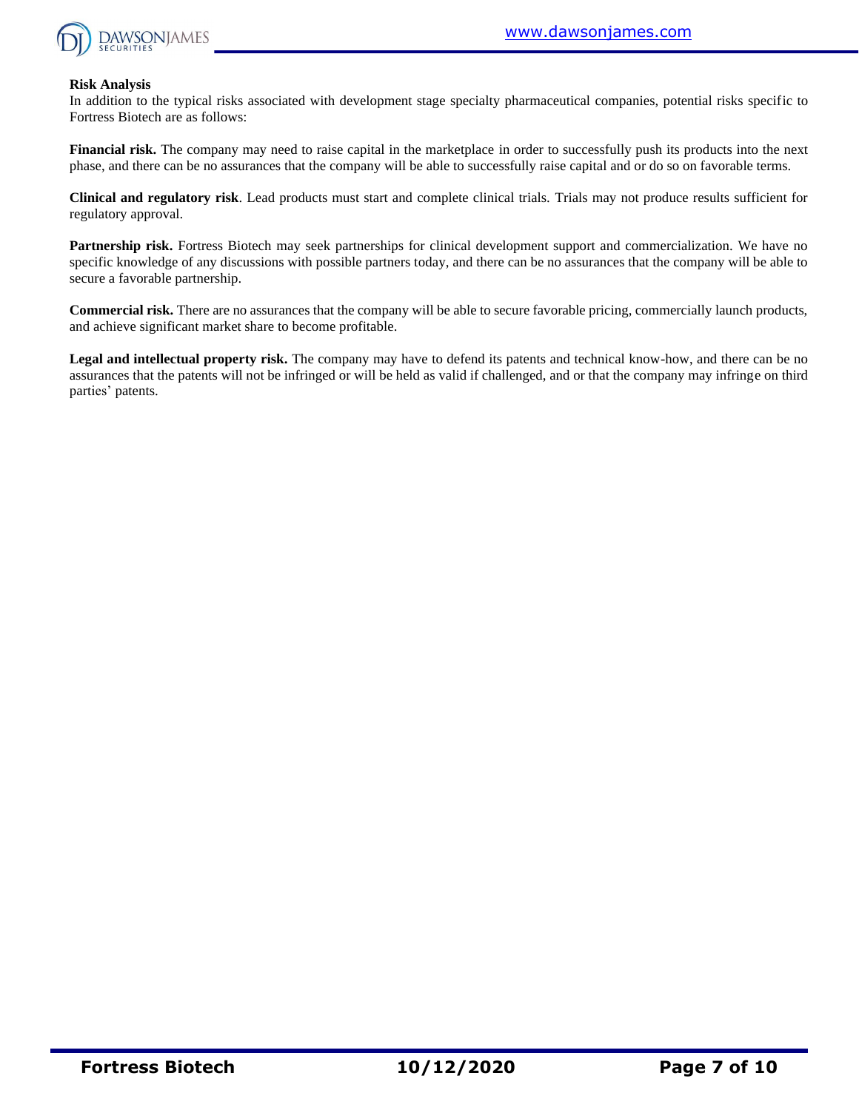

#### **Risk Analysis**

In addition to the typical risks associated with development stage specialty pharmaceutical companies, potential risks specific to Fortress Biotech are as follows:

**Financial risk.** The company may need to raise capital in the marketplace in order to successfully push its products into the next phase, and there can be no assurances that the company will be able to successfully raise capital and or do so on favorable terms.

**Clinical and regulatory risk**. Lead products must start and complete clinical trials. Trials may not produce results sufficient for regulatory approval.

**Partnership risk.** Fortress Biotech may seek partnerships for clinical development support and commercialization. We have no specific knowledge of any discussions with possible partners today, and there can be no assurances that the company will be able to secure a favorable partnership.

**Commercial risk.** There are no assurances that the company will be able to secure favorable pricing, commercially launch products, and achieve significant market share to become profitable.

**Legal and intellectual property risk.** The company may have to defend its patents and technical know-how, and there can be no assurances that the patents will not be infringed or will be held as valid if challenged, and or that the company may infringe on third parties' patents.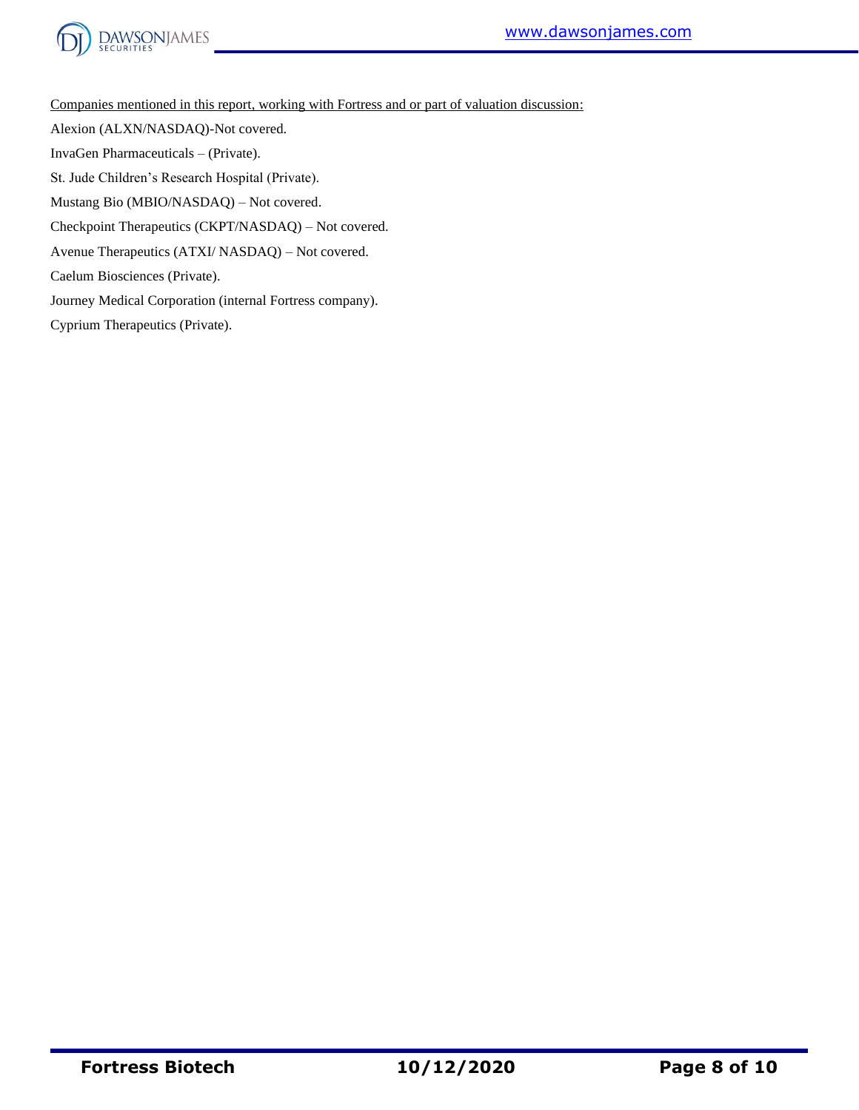



Companies mentioned in this report, working with Fortress and or part of valuation discussion:

Alexion (ALXN/NASDAQ)-Not covered.

InvaGen Pharmaceuticals – (Private).

St. Jude Children's Research Hospital (Private).

Mustang Bio (MBIO/NASDAQ) – Not covered.

Checkpoint Therapeutics (CKPT/NASDAQ) – Not covered.

Avenue Therapeutics (ATXI/ NASDAQ) – Not covered.

Caelum Biosciences (Private).

Journey Medical Corporation (internal Fortress company).

Cyprium Therapeutics (Private).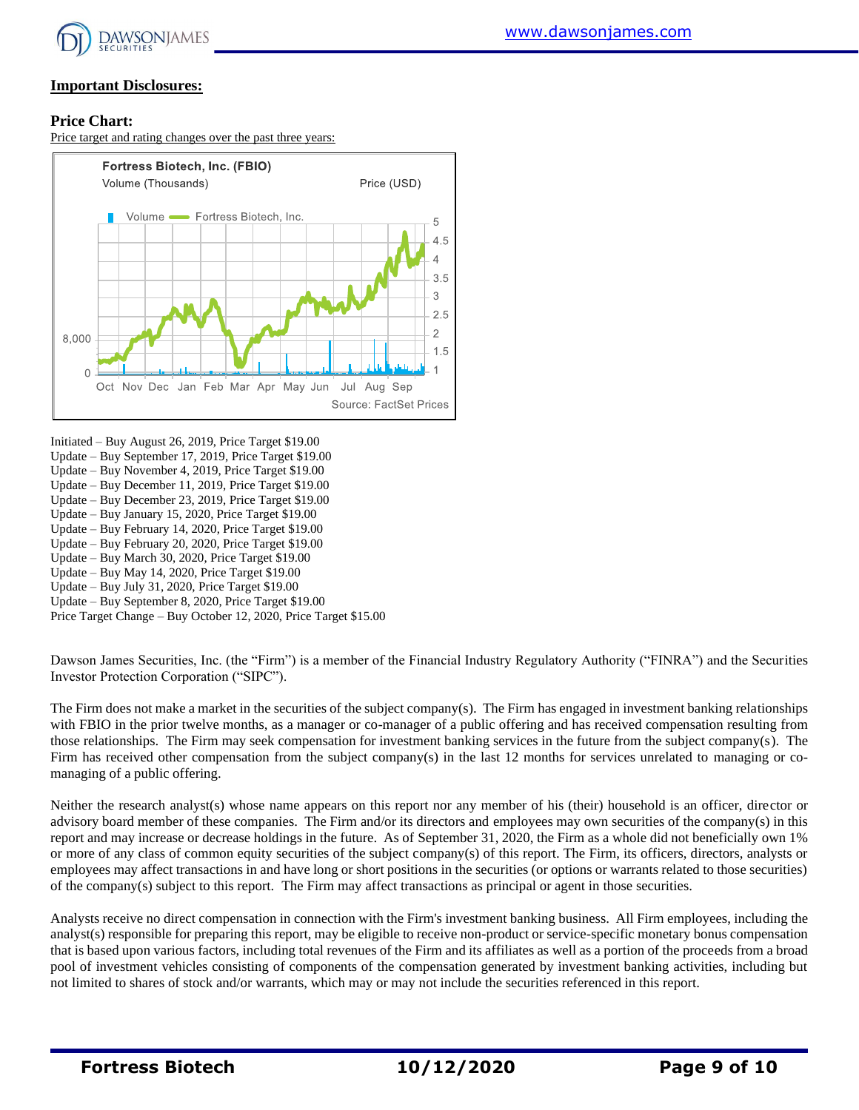

### **Important Disclosures:**

#### **Price Chart:**

Price target and rating changes over the past three years:



Initiated – Buy August 26, 2019, Price Target \$19.00 Update – Buy September 17, 2019, Price Target \$19.00

- Update Buy November 4, 2019, Price Target \$19.00
- Update Buy December 11, 2019, Price Target \$19.00
- Update Buy December 23, 2019, Price Target \$19.00
- Update Buy January 15, 2020, Price Target \$19.00
- Update Buy February 14, 2020, Price Target \$19.00
- Update Buy February 20, 2020, Price Target \$19.00
- Update Buy March 30, 2020, Price Target \$19.00
- Update Buy May 14, 2020, Price Target \$19.00
- Update Buy July 31, 2020, Price Target \$19.00

Update – Buy September 8, 2020, Price Target \$19.00

Price Target Change – Buy October 12, 2020, Price Target \$15.00

Dawson James Securities, Inc. (the "Firm") is a member of the Financial Industry Regulatory Authority ("FINRA") and the Securities Investor Protection Corporation ("SIPC").

The Firm does not make a market in the securities of the subject company(s). The Firm has engaged in investment banking relationships with FBIO in the prior twelve months, as a manager or co-manager of a public offering and has received compensation resulting from those relationships. The Firm may seek compensation for investment banking services in the future from the subject company(s). The Firm has received other compensation from the subject company(s) in the last 12 months for services unrelated to managing or comanaging of a public offering.

Neither the research analyst(s) whose name appears on this report nor any member of his (their) household is an officer, director or advisory board member of these companies. The Firm and/or its directors and employees may own securities of the company(s) in this report and may increase or decrease holdings in the future. As of September 31, 2020, the Firm as a whole did not beneficially own 1% or more of any class of common equity securities of the subject company(s) of this report. The Firm, its officers, directors, analysts or employees may affect transactions in and have long or short positions in the securities (or options or warrants related to those securities) of the company(s) subject to this report. The Firm may affect transactions as principal or agent in those securities.

Analysts receive no direct compensation in connection with the Firm's investment banking business. All Firm employees, including the analyst(s) responsible for preparing this report, may be eligible to receive non-product or service-specific monetary bonus compensation that is based upon various factors, including total revenues of the Firm and its affiliates as well as a portion of the proceeds from a broad pool of investment vehicles consisting of components of the compensation generated by investment banking activities, including but not limited to shares of stock and/or warrants, which may or may not include the securities referenced in this report.